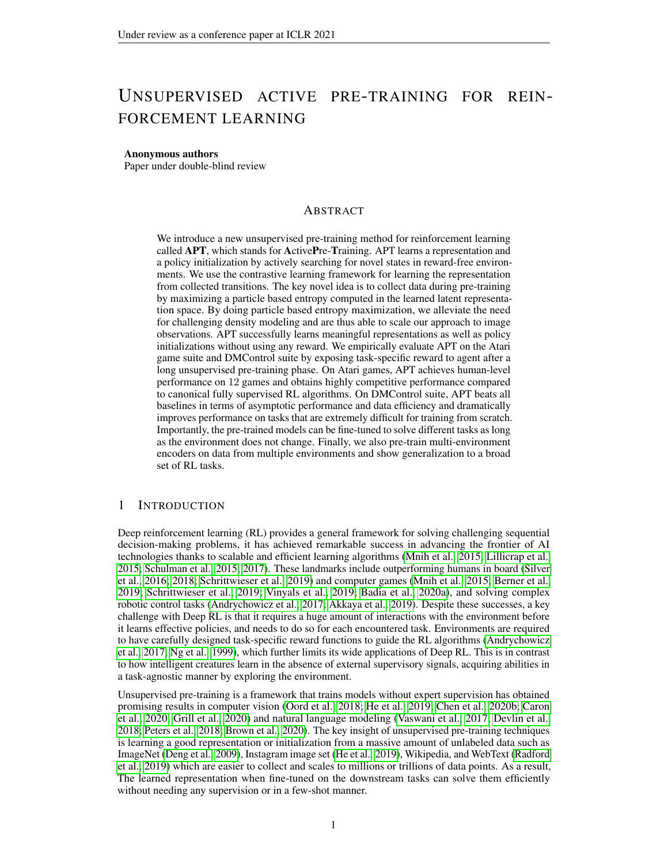# UNSUPERVISED ACTIVE PRE-TRAINING FOR REIN-FORCEMENT LEARNING

#### Anonymous authors

Paper under double-blind review

## ABSTRACT

We introduce a new unsupervised pre-training method for reinforcement learning called APT, which stands for ActivePre-Training. APT learns a representation and a policy initialization by actively searching for novel states in reward-free environments. We use the contrastive learning framework for learning the representation from collected transitions. The key novel idea is to collect data during pre-training by maximizing a particle based entropy computed in the learned latent representation space. By doing particle based entropy maximization, we alleviate the need for challenging density modeling and are thus able to scale our approach to image observations. APT successfully learns meaningful representations as well as policy initializations without using any reward. We empirically evaluate APT on the Atari game suite and DMControl suite by exposing task-specific reward to agent after a long unsupervised pre-training phase. On Atari games, APT achieves human-level performance on 12 games and obtains highly competitive performance compared to canonical fully supervised RL algorithms. On DMControl suite, APT beats all baselines in terms of asymptotic performance and data efficiency and dramatically improves performance on tasks that are extremely difficult for training from scratch. Importantly, the pre-trained models can be fine-tuned to solve different tasks as long as the environment does not change. Finally, we also pre-train multi-environment encoders on data from multiple environments and show generalization to a broad set of RL tasks.

## 1 INTRODUCTION

Deep reinforcement learning (RL) provides a general framework for solving challenging sequential decision-making problems, it has achieved remarkable success in advancing the frontier of AI technologies thanks to scalable and efficient learning algorithms [\(Mnih et al., 2015;](#page-12-0) [Lillicrap et al.,](#page-12-1) [2015;](#page-12-1) [Schulman et al., 2015;](#page-13-0) [2017\)](#page-13-1). These landmarks include outperforming humans in board [\(Silver](#page-13-2) [et al., 2016;](#page-13-2) [2018;](#page-13-3) [Schrittwieser et al., 2019\)](#page-13-4) and computer games [\(Mnih et al., 2015;](#page-12-0) [Berner et al.,](#page-9-0) [2019;](#page-9-0) [Schrittwieser et al., 2019;](#page-13-4) [Vinyals et al., 2019;](#page-14-0) [Badia et al., 2020a\)](#page-9-1), and solving complex robotic control tasks [\(Andrychowicz et al., 2017;](#page-9-2) [Akkaya et al., 2019\)](#page-9-3). Despite these successes, a key challenge with Deep RL is that it requires a huge amount of interactions with the environment before it learns effective policies, and needs to do so for each encountered task. Environments are required to have carefully designed task-specific reward functions to guide the RL algorithms [\(Andrychowicz](#page-9-2) [et al., 2017;](#page-9-2) [Ng et al., 1999\)](#page-12-2), which further limits its wide applications of Deep RL. This is in contrast to how intelligent creatures learn in the absence of external supervisory signals, acquiring abilities in a task-agnostic manner by exploring the environment.

Unsupervised pre-training is a framework that trains models without expert supervision has obtained promising results in computer vision [\(Oord et al., 2018;](#page-12-3) [He et al., 2019;](#page-11-0) [Chen et al., 2020b;](#page-10-0) [Caron](#page-10-1) [et al., 2020;](#page-10-1) [Grill et al., 2020\)](#page-10-2) and natural language modeling [\(Vaswani et al., 2017;](#page-14-1) [Devlin et al.,](#page-10-3) [2018;](#page-10-3) [Peters et al., 2018;](#page-13-5) [Brown et al., 2020\)](#page-10-4). The key insight of unsupervised pre-training techniques is learning a good representation or initialization from a massive amount of unlabeled data such as ImageNet [\(Deng et al., 2009\)](#page-10-5), Instagram image set [\(He et al., 2019\)](#page-11-0), Wikipedia, and WebText [\(Radford](#page-13-6) [et al., 2019\)](#page-13-6) which are easier to collect and scales to millions or trillions of data points. As a result, The learned representation when fine-tuned on the downstream tasks can solve them efficiently without needing any supervision or in a few-shot manner.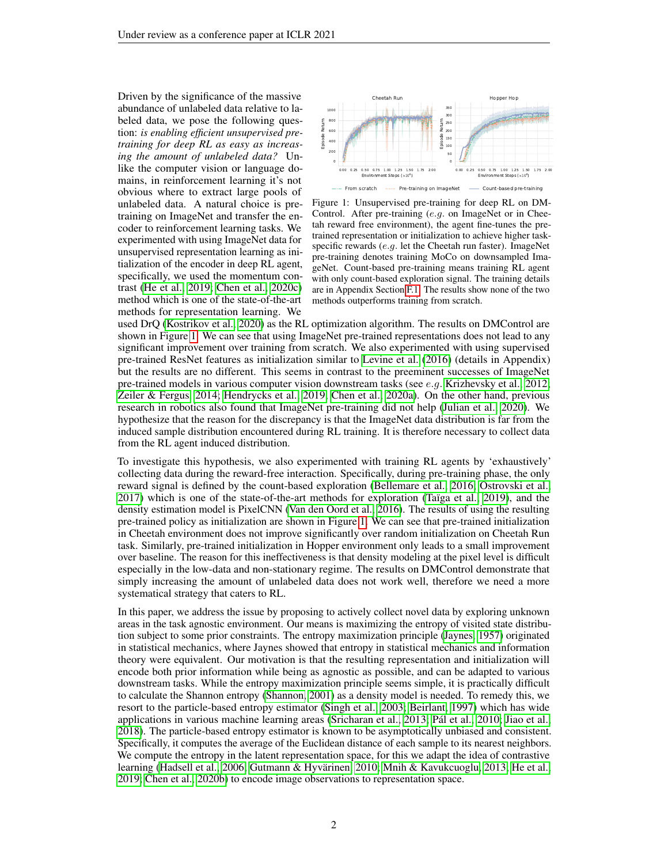Driven by the significance of the massive abundance of unlabeled data relative to labeled data, we pose the following question: *is enabling efficient unsupervised pretraining for deep RL as easy as increasing the amount of unlabeled data?* Unlike the computer vision or language domains, in reinforcement learning it's not obvious where to extract large pools of unlabeled data. A natural choice is pretraining on ImageNet and transfer the encoder to reinforcement learning tasks. We experimented with using ImageNet data for unsupervised representation learning as initialization of the encoder in deep RL agent, specifically, we used the momentum contrast [\(He et al., 2019;](#page-11-0) [Chen et al., 2020c\)](#page-10-6) method which is one of the state-of-the-art methods for representation learning. We

<span id="page-1-0"></span>

Figure 1: Unsupervised pre-training for deep RL on DM-Control. After pre-training (e.g. on ImageNet or in Cheetah reward free environment), the agent fine-tunes the pretrained representation or initialization to achieve higher taskspecific rewards (e.g. let the Cheetah run faster). ImageNet pre-training denotes training MoCo on downsampled ImageNet. Count-based pre-training means training RL agent with only count-based exploration signal. The training details are in Appendix Section [F.1.](#page-19-0) The results show none of the two methods outperforms training from scratch.

used DrQ [\(Kostrikov et al., 2020\)](#page-12-4) as the RL optimization algorithm. The results on DMControl are shown in Figure [1.](#page-1-0) We can see that using ImageNet pre-trained representations does not lead to any significant improvement over training from scratch. We also experimented with using supervised pre-trained ResNet features as initialization similar to [Levine et al.](#page-12-5) [\(2016\)](#page-12-5) (details in Appendix) but the results are no different. This seems in contrast to the preeminent successes of ImageNet pre-trained models in various computer vision downstream tasks (see  $e.g.$  [Krizhevsky et al., 2012;](#page-12-6) [Zeiler & Fergus, 2014;](#page-14-2) [Hendrycks et al., 2019;](#page-11-1) [Chen et al., 2020a\)](#page-10-7). On the other hand, previous research in robotics also found that ImageNet pre-training did not help [\(Julian et al., 2020\)](#page-11-2). We hypothesize that the reason for the discrepancy is that the ImageNet data distribution is far from the induced sample distribution encountered during RL training. It is therefore necessary to collect data from the RL agent induced distribution.

To investigate this hypothesis, we also experimented with training RL agents by 'exhaustively' collecting data during the reward-free interaction. Specifically, during pre-training phase, the only reward signal is defined by the count-based exploration [\(Bellemare et al., 2016;](#page-9-4) [Ostrovski et al.,](#page-12-7) [2017\)](#page-12-7) which is one of the state-of-the-art methods for exploration [\(Taïga et al., 2019\)](#page-14-3), and the density estimation model is PixelCNN [\(Van den Oord et al., 2016\)](#page-14-4). The results of using the resulting pre-trained policy as initialization are shown in Figure [1.](#page-1-0) We can see that pre-trained initialization in Cheetah environment does not improve significantly over random initialization on Cheetah Run task. Similarly, pre-trained initialization in Hopper environment only leads to a small improvement over baseline. The reason for this ineffectiveness is that density modeling at the pixel level is difficult especially in the low-data and non-stationary regime. The results on DMControl demonstrate that simply increasing the amount of unlabeled data does not work well, therefore we need a more systematical strategy that caters to RL.

In this paper, we address the issue by proposing to actively collect novel data by exploring unknown areas in the task agnostic environment. Our means is maximizing the entropy of visited state distribution subject to some prior constraints. The entropy maximization principle [\(Jaynes, 1957\)](#page-11-3) originated in statistical mechanics, where Jaynes showed that entropy in statistical mechanics and information theory were equivalent. Our motivation is that the resulting representation and initialization will encode both prior information while being as agnostic as possible, and can be adapted to various downstream tasks. While the entropy maximization principle seems simple, it is practically difficult to calculate the Shannon entropy [\(Shannon, 2001\)](#page-13-7) as a density model is needed. To remedy this, we resort to the particle-based entropy estimator [\(Singh et al., 2003;](#page-13-8) [Beirlant, 1997\)](#page-9-5) which has wide applications in various machine learning areas [\(Sricharan et al., 2013;](#page-14-5) [Pál et al., 2010;](#page-13-9) [Jiao et al.,](#page-11-4) [2018\)](#page-11-4). The particle-based entropy estimator is known to be asymptotically unbiased and consistent. Specifically, it computes the average of the Euclidean distance of each sample to its nearest neighbors. We compute the entropy in the latent representation space, for this we adapt the idea of contrastive learning [\(Hadsell et al., 2006;](#page-11-5) [Gutmann & Hyvärinen, 2010;](#page-11-6) [Mnih & Kavukcuoglu, 2013;](#page-12-8) [He et al.,](#page-11-0) [2019;](#page-11-0) [Chen et al., 2020b\)](#page-10-0) to encode image observations to representation space.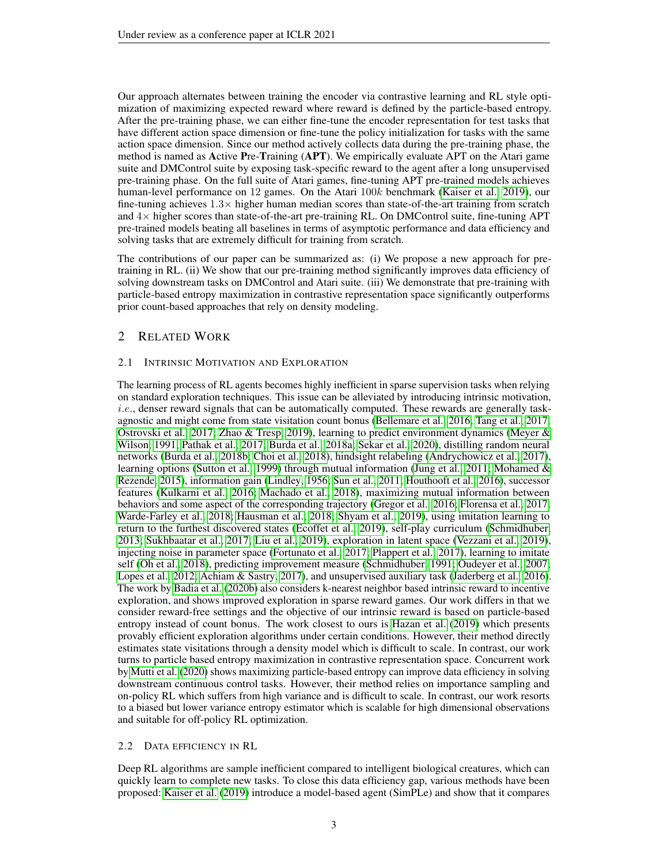Our approach alternates between training the encoder via contrastive learning and RL style optimization of maximizing expected reward where reward is defined by the particle-based entropy. After the pre-training phase, we can either fine-tune the encoder representation for test tasks that have different action space dimension or fine-tune the policy initialization for tasks with the same action space dimension. Since our method actively collects data during the pre-training phase, the method is named as Active Pre-Training (APT). We empirically evaluate APT on the Atari game suite and DMControl suite by exposing task-specific reward to the agent after a long unsupervised pre-training phase. On the full suite of Atari games, fine-tuning APT pre-trained models achieves human-level performance on 12 games. On the Atari 100k benchmark [\(Kaiser et al., 2019\)](#page-11-7), our fine-tuning achieves  $1.3\times$  higher human median scores than state-of-the-art training from scratch and  $4\times$  higher scores than state-of-the-art pre-training RL. On DMControl suite, fine-tuning APT pre-trained models beating all baselines in terms of asymptotic performance and data efficiency and solving tasks that are extremely difficult for training from scratch.

The contributions of our paper can be summarized as: (i) We propose a new approach for pretraining in RL. (ii) We show that our pre-training method significantly improves data efficiency of solving downstream tasks on DMControl and Atari suite. (iii) We demonstrate that pre-training with particle-based entropy maximization in contrastive representation space significantly outperforms prior count-based approaches that rely on density modeling.

# 2 RELATED WORK

#### 2.1 INTRINSIC MOTIVATION AND EXPLORATION

The learning process of RL agents becomes highly inefficient in sparse supervision tasks when relying on standard exploration techniques. This issue can be alleviated by introducing intrinsic motivation, i.e., denser reward signals that can be automatically computed. These rewards are generally taskagnostic and might come from state visitation count bonus [\(Bellemare et al., 2016;](#page-9-4) [Tang et al., 2017;](#page-14-6) [Ostrovski et al., 2017;](#page-12-7) [Zhao & Tresp, 2019\)](#page-14-7), learning to predict environment dynamics [\(Meyer &](#page-12-9) [Wilson, 1991;](#page-12-9) [Pathak et al., 2017;](#page-13-10) [Burda et al., 2018a;](#page-10-8) [Sekar et al., 2020\)](#page-13-11), distilling random neural networks [\(Burda et al., 2018b;](#page-10-9) [Choi et al., 2018\)](#page-10-10), hindsight relabeling [\(Andrychowicz et al., 2017\)](#page-9-2), learning options [\(Sutton et al., 1999\)](#page-14-8) through mutual information [\(Jung et al., 2011;](#page-11-8) [Mohamed &](#page-12-10) [Rezende, 2015\)](#page-12-10), information gain [\(Lindley, 1956;](#page-12-11) [Sun et al., 2011;](#page-14-9) [Houthooft et al., 2016\)](#page-11-9), successor features [\(Kulkarni et al., 2016;](#page-12-12) [Machado et al., 2018\)](#page-12-13), maximizing mutual information between behaviors and some aspect of the corresponding trajectory [\(Gregor et al., 2016;](#page-10-11) [Florensa et al., 2017;](#page-10-12) [Warde-Farley et al., 2018;](#page-14-10) [Hausman et al., 2018;](#page-11-10) [Shyam et al., 2019\)](#page-13-12), using imitation learning to return to the furthest discovered states [\(Ecoffet et al., 2019\)](#page-10-13), self-play curriculum [\(Schmidhuber,](#page-13-13) [2013;](#page-13-13) [Sukhbaatar et al., 2017;](#page-14-11) [Liu et al., 2019\)](#page-12-14), exploration in latent space [\(Vezzani et al., 2019\)](#page-14-12), injecting noise in parameter space [\(Fortunato et al., 2017;](#page-10-14) [Plappert et al., 2017\)](#page-13-14), learning to imitate self [\(Oh et al., 2018\)](#page-12-15), predicting improvement measure [\(Schmidhuber, 1991;](#page-13-15) [Oudeyer et al., 2007;](#page-13-16) [Lopes et al., 2012;](#page-12-16) [Achiam & Sastry, 2017\)](#page-9-6), and unsupervised auxiliary task [\(Jaderberg et al., 2016\)](#page-11-11). The work by [Badia et al.](#page-9-7) [\(2020b\)](#page-9-7) also considers k-nearest neighbor based intrinsic reward to incentive exploration, and shows improved exploration in sparse reward games. Our work differs in that we consider reward-free settings and the objective of our intrinsic reward is based on particle-based entropy instead of count bonus. The work closest to ours is [Hazan et al.](#page-11-12) [\(2019\)](#page-11-12) which presents provably efficient exploration algorithms under certain conditions. However, their method directly estimates state visitations through a density model which is difficult to scale. In contrast, our work turns to particle based entropy maximization in contrastive representation space. Concurrent work by [Mutti et al.](#page-12-17) [\(2020\)](#page-12-17) shows maximizing particle-based entropy can improve data efficiency in solving downstream continuous control tasks. However, their method relies on importance sampling and on-policy RL which suffers from high variance and is difficult to scale. In contrast, our work resorts to a biased but lower variance entropy estimator which is scalable for high dimensional observations and suitable for off-policy RL optimization.

#### 2.2 DATA EFFICIENCY IN RL

Deep RL algorithms are sample inefficient compared to intelligent biological creatures, which can quickly learn to complete new tasks. To close this data efficiency gap, various methods have been proposed: [Kaiser et al.](#page-11-7) [\(2019\)](#page-11-7) introduce a model-based agent (SimPLe) and show that it compares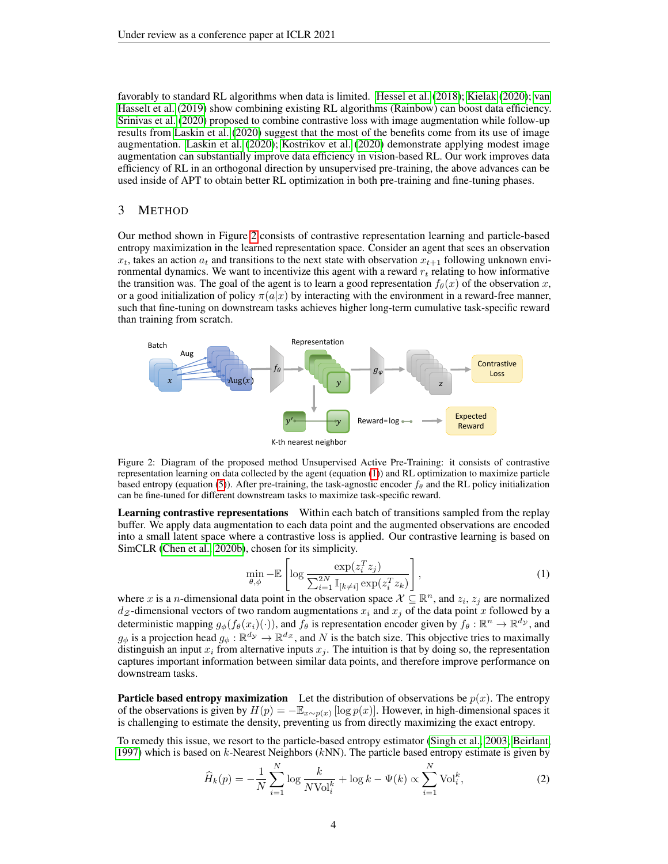favorably to standard RL algorithms when data is limited. [Hessel et al.](#page-11-13) [\(2018\)](#page-11-13); [Kielak](#page-11-14) [\(2020\)](#page-11-14); [van](#page-14-13) [Hasselt et al.](#page-14-13) [\(2019\)](#page-14-13) show combining existing RL algorithms (Rainbow) can boost data efficiency. [Srinivas et al.](#page-14-14) [\(2020\)](#page-14-14) proposed to combine contrastive loss with image augmentation while follow-up results from [Laskin et al.](#page-12-18) [\(2020\)](#page-12-18) suggest that the most of the benefits come from its use of image augmentation. [Laskin et al.](#page-12-18) [\(2020\)](#page-12-18); [Kostrikov et al.](#page-12-4) [\(2020\)](#page-12-4) demonstrate applying modest image augmentation can substantially improve data efficiency in vision-based RL. Our work improves data efficiency of RL in an orthogonal direction by unsupervised pre-training, the above advances can be used inside of APT to obtain better RL optimization in both pre-training and fine-tuning phases.

#### 3 METHOD

Our method shown in Figure [2](#page-3-0) consists of contrastive representation learning and particle-based entropy maximization in the learned representation space. Consider an agent that sees an observation  $x_t$ , takes an action  $a_t$  and transitions to the next state with observation  $x_{t+1}$  following unknown environmental dynamics. We want to incentivize this agent with a reward  $r_t$  relating to how informative the transition was. The goal of the agent is to learn a good representation  $f_{\theta}(x)$  of the observation x, or a good initialization of policy  $\pi(a|x)$  by interacting with the environment in a reward-free manner, such that fine-tuning on downstream tasks achieves higher long-term cumulative task-specific reward than training from scratch.

<span id="page-3-0"></span>

Figure 2: Diagram of the proposed method Unsupervised Active Pre-Training: it consists of contrastive representation learning on data collected by the agent (equation [\(1\)](#page-3-1)) and RL optimization to maximize particle based entropy (equation [\(5\)](#page-4-0)). After pre-training, the task-agnostic encoder  $f_\theta$  and the RL policy initialization can be fine-tuned for different downstream tasks to maximize task-specific reward.

Learning contrastive representations Within each batch of transitions sampled from the replay buffer. We apply data augmentation to each data point and the augmented observations are encoded into a small latent space where a contrastive loss is applied. Our contrastive learning is based on SimCLR [\(Chen et al., 2020b\)](#page-10-0), chosen for its simplicity.

<span id="page-3-1"></span>
$$
\min_{\theta,\phi} - \mathbb{E}\left[\log \frac{\exp(z_i^T z_j)}{\sum_{i=1}^{2N} \mathbb{I}_{[k \neq i]} \exp(z_i^T z_k)}\right],\tag{1}
$$

where x is a n-dimensional data point in the observation space  $\mathcal{X} \subseteq \mathbb{R}^n$ , and  $z_i$ ,  $z_j$  are normalized  $d_{\mathcal{Z}}$ -dimensional vectors of two random augmentations  $x_i$  and  $x_j$  of the data point x followed by a deterministic mapping  $g_{\phi}(f_{\theta}(x_i)(\cdot))$ , and  $f_{\theta}$  is representation encoder given by  $f_{\theta}: \mathbb{R}^n \to \mathbb{R}^{d_{\mathcal{Y}}}$ , and  $g_{\phi}$  is a projection head  $g_{\phi}: \mathbb{R}^{d_y} \to \mathbb{R}^{d_z}$ , and N is the batch size. This objective tries to maximally distinguish an input  $x_i$  from alternative inputs  $x_j$ . The intuition is that by doing so, the representation captures important information between similar data points, and therefore improve performance on downstream tasks.

**Particle based entropy maximization** Let the distribution of observations be  $p(x)$ . The entropy of the observations is given by  $H(p) = -\mathbb{E}_{x \sim p(x)} [\log p(x)]$ . However, in high-dimensional spaces it is challenging to estimate the density, preventing us from directly maximizing the exact entropy.

To remedy this issue, we resort to the particle-based entropy estimator [\(Singh et al., 2003;](#page-13-8) [Beirlant,](#page-9-5) [1997\)](#page-9-5) which is based on  $k$ -Nearest Neighbors  $(kNN)$ . The particle based entropy estimate is given by

<span id="page-3-2"></span>
$$
\widehat{H}_k(p) = -\frac{1}{N} \sum_{i=1}^N \log \frac{k}{N \text{Vol}_i^k} + \log k - \Psi(k) \propto \sum_{i=1}^N \text{Vol}_i^k,
$$
\n(2)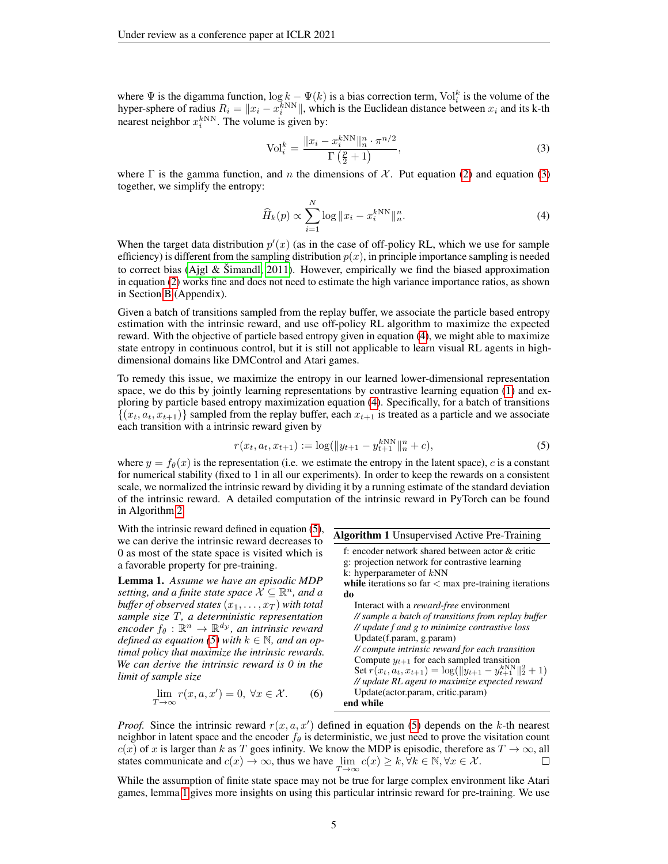where  $\Psi$  is the digamma function,  $\log k - \Psi(k)$  is a bias correction term,  $\text{Vol}_i^k$  is the volume of the hyper-sphere of radius  $R_i = ||x_i - x_i^{kNN}||$ , which is the Euclidean distance between  $x_i$  and its k-th nearest neighbor  $x_i^{kNN}$ . The volume is given by:

<span id="page-4-1"></span>
$$
\text{Vol}_i^k = \frac{\|x_i - x_i^k \text{NN}\|_n^n \cdot \pi^{n/2}}{\Gamma\left(\frac{p}{2} + 1\right)},\tag{3}
$$

where  $\Gamma$  is the gamma function, and n the dimensions of X. Put equation [\(2\)](#page-3-2) and equation [\(3\)](#page-4-1) together, we simplify the entropy:

<span id="page-4-2"></span>
$$
\widehat{H}_k(p) \propto \sum_{i=1}^N \log \|x_i - x_i^{kNN}\|_n^n. \tag{4}
$$

When the target data distribution  $p'(x)$  (as in the case of off-policy RL, which we use for sample efficiency) is different from the sampling distribution  $p(x)$ , in principle importance sampling is needed to correct bias [\(Ajgl & Šimandl, 2011\)](#page-9-8). However, empirically we find the biased approximation in equation [\(2\)](#page-3-2) works fine and does not need to estimate the high variance importance ratios, as shown in Section [B](#page-16-0) (Appendix).

Given a batch of transitions sampled from the replay buffer, we associate the particle based entropy estimation with the intrinsic reward, and use off-policy RL algorithm to maximize the expected reward. With the objective of particle based entropy given in equation [\(4\)](#page-4-2), we might able to maximize state entropy in continuous control, but it is still not applicable to learn visual RL agents in highdimensional domains like DMControl and Atari games.

To remedy this issue, we maximize the entropy in our learned lower-dimensional representation space, we do this by jointly learning representations by contrastive learning equation [\(1\)](#page-3-1) and exploring by particle based entropy maximization equation [\(4\)](#page-4-2). Specifically, for a batch of transitions  $\{(x_t, a_t, x_{t+1})\}$  sampled from the replay buffer, each  $x_{t+1}$  is treated as a particle and we associate each transition with a intrinsic reward given by

<span id="page-4-4"></span><span id="page-4-0"></span>
$$
r(x_t, a_t, x_{t+1}) := \log(||y_{t+1} - y_{t+1}^{k \text{NN}}||_n^n + c),
$$
\n(5)

where  $y = f_{\theta}(x)$  is the representation (i.e. we estimate the entropy in the latent space), c is a constant for numerical stability (fixed to 1 in all our experiments). In order to keep the rewards on a consistent scale, we normalized the intrinsic reward by dividing it by a running estimate of the standard deviation of the intrinsic reward. A detailed computation of the intrinsic reward in PyTorch can be found in Algorithm [2.](#page-15-0)

<span id="page-4-3"></span>Algorithm 1 Unsupervised Active Pre-Training f: encoder network shared between actor & critic g: projection network for contrastive learning k: hyperparameter of kNN while iterations so far  $<$  max pre-training iterations do Interact with a *reward-free* environment *// sample a batch of transitions from replay buffer // update f and g to minimize contrastive loss* Update(f.param, g.param) *// compute intrinsic reward for each transition* Compute  $y_{t+1}$  for each sampled transition Set  $\hat{r}(x_t, a_t, x_{t+1}) = \log(\|\hat{y}_{t+1} - y_{t+1}^{k \text{NN}}\|_2^2 + 1)$ *// update RL agent to maximize expected reward* Update(actor.param, critic.param) With the intrinsic reward defined in equation  $(5)$ , we can derive the intrinsic reward decreases to 0 as most of the state space is visited which is a favorable property for pre-training. Lemma 1. *Assume we have an episodic MDP* setting, and a finite state space  $\mathcal{X} \subseteq \mathbb{R}^n$ , and a *buffer of observed states*  $(x_1, \ldots, x_T)$  *with total sample size* T*, a deterministic representation*  $\mathit{encoder} \ f_{\theta} : \mathbb{R}^n \to \mathbb{R}^{d_{\mathcal{Y}}}$ , an intrinsic reward *defined as equation* [\(5\)](#page-4-0) with  $k \in \mathbb{N}$ , and an op*timal policy that maximize the intrinsic rewards. We can derive the intrinsic reward is 0 in the limit of sample size*

$$
\lim_{T \to \infty} r(x, a, x') = 0, \forall x \in \mathcal{X}.
$$
 (6) Update  
end while

*Proof.* Since the intrinsic reward  $r(x, a, x')$  defined in equation [\(5\)](#page-4-0) depends on the k-th nearest neighbor in latent space and the encoder  $f_{\theta}$  is deterministic, we just need to prove the visitation count  $c(x)$  of x is larger than k as T goes infinity. We know the MDP is episodic, therefore as  $T \to \infty$ , all states communicate and  $c(x) \to \infty$ , thus we have  $\lim_{T \to \infty} c(x) \ge k, \forall k \in \mathbb{N}, \forall x \in \mathcal{X}$ .  $\Box$ 

While the assumption of finite state space may not be true for large complex environment like Atari games, lemma [1](#page-4-3) gives more insights on using this particular intrinsic reward for pre-training. We use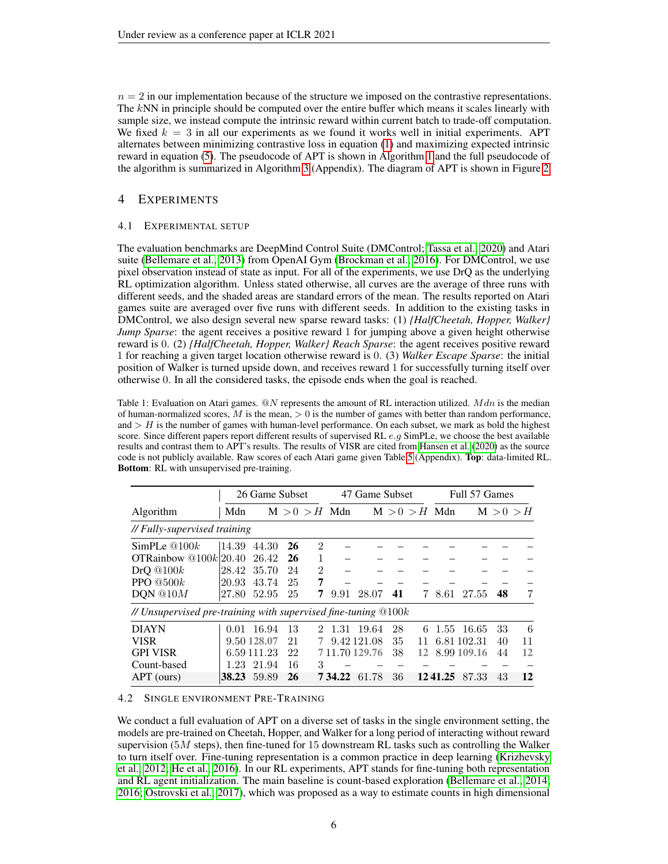$n = 2$  in our implementation because of the structure we imposed on the contrastive representations. The kNN in principle should be computed over the entire buffer which means it scales linearly with sample size, we instead compute the intrinsic reward within current batch to trade-off computation. We fixed  $k = 3$  in all our experiments as we found it works well in initial experiments. APT alternates between minimizing contrastive loss in equation [\(1\)](#page-3-1) and maximizing expected intrinsic reward in equation [\(5\)](#page-4-0). The pseudocode of APT is shown in Algorithm [1](#page-4-4) and the full pseudocode of the algorithm is summarized in Algorithm [3](#page-20-0) (Appendix). The diagram of APT is shown in Figure [2.](#page-3-0)

## 4 EXPERIMENTS

## 4.1 EXPERIMENTAL SETUP

The evaluation benchmarks are DeepMind Control Suite (DMControl; [Tassa et al., 2020\)](#page-14-15) and Atari suite [\(Bellemare et al., 2013\)](#page-9-9) from OpenAI Gym [\(Brockman et al., 2016\)](#page-9-10). For DMControl, we use pixel observation instead of state as input. For all of the experiments, we use DrQ as the underlying RL optimization algorithm. Unless stated otherwise, all curves are the average of three runs with different seeds, and the shaded areas are standard errors of the mean. The results reported on Atari games suite are averaged over five runs with different seeds. In addition to the existing tasks in DMControl, we also design several new sparse reward tasks: (1) *{HalfCheetah, Hopper, Walker} Jump Sparse*: the agent receives a positive reward 1 for jumping above a given height otherwise reward is 0. (2) *{HalfCheetah, Hopper, Walker} Reach Sparse*: the agent receives positive reward 1 for reaching a given target location otherwise reward is 0. (3) *Walker Escape Sparse*: the initial position of Walker is turned upside down, and receives reward 1 for successfully turning itself over otherwise 0. In all the considered tasks, the episode ends when the goal is reached.

<span id="page-5-0"></span>Table 1: Evaluation on Atari games.  $\mathbb{Q}N$  represents the amount of RL interaction utilized. Mdn is the median of human-normalized scores,  $M$  is the mean,  $> 0$  is the number of games with better than random performance, and  $>$  H is the number of games with human-level performance. On each subset, we mark as bold the highest score. Since different papers report different results of supervised RL  $e.g.$  SimPLe, we choose the best available results and contrast them to APT's results. The results of VISR are cited from [Hansen et al.](#page-11-15) [\(2020\)](#page-11-15) as the source code is not publicly available. Raw scores of each Atari game given Table [5](#page-18-0) (Appendix). Top: data-limited RL. Bottom: RL with unsupervised pre-training.

|                                                                  |       | 26 Game Subset |    |                             |                 | 47 Game Subset |    |                 |         | Full 57 Games |           |    |
|------------------------------------------------------------------|-------|----------------|----|-----------------------------|-----------------|----------------|----|-----------------|---------|---------------|-----------|----|
| Algorithm                                                        | Mdn   |                |    |                             | $M > 0 > H$ Mdn |                |    | $M > 0 > H$ Mdn |         |               | M > 0 > H |    |
| // Fully-supervised training                                     |       |                |    |                             |                 |                |    |                 |         |               |           |    |
| SimPLe $@100k$                                                   | 14.39 | 44.30          | 26 | $\mathcal{D}_{\mathcal{L}}$ |                 |                |    |                 |         |               |           |    |
| OTRainbow $@100k 20.40$                                          |       | 26.42          | 26 | 1                           |                 |                |    |                 |         |               |           |    |
| DrQ@100k                                                         | 28.42 | 35.70          | 24 | $\mathfrak{D}$              |                 |                |    |                 |         |               |           |    |
| PPO $@500k$                                                      | 20.93 | 43.74          | 25 | 7                           |                 |                |    |                 |         |               |           |    |
| DON @ 10M                                                        | 27.80 | 52.95          | 25 | 7                           | 9.91            | 28.07          | 41 | 7.              | 8.61    | 27.55         | 48        | 7  |
| // Unsupervised pre-training with supervised fine-tuning $@100k$ |       |                |    |                             |                 |                |    |                 |         |               |           |    |
| <b>DIAYN</b>                                                     |       | 0.01 16.94     | 13 | 2                           | 1.31            | -19.64         | 28 | 6               | 1.55    | - 16.65       | 33        | 6  |
| <b>VISR</b>                                                      |       | 9.50 128.07    | 21 |                             |                 | 9.42 121.08    | 35 | 11              |         | 6.81 102.31   | 40        | 11 |
| <b>GPI VISR</b>                                                  |       | 6.59 111.23    | 22 |                             |                 | 7 11.70 129.76 | 38 | 12              |         | 8.99 109.16   | 44        | 12 |
| Count-based                                                      | 1.23  | 21.94          | 16 | 3                           |                 |                |    |                 |         |               |           |    |
| APT (ours)                                                       | 38.23 | 59.89          | 26 |                             | 7 34.22         | 61.78          | 36 |                 | 1241.25 | 87.33         | 43        | 12 |

#### 4.2 SINGLE ENVIRONMENT PRE-TRAINING

We conduct a full evaluation of APT on a diverse set of tasks in the single environment setting, the models are pre-trained on Cheetah, Hopper, and Walker for a long period of interacting without reward supervision ( $5M$  steps), then fine-tuned for 15 downstream RL tasks such as controlling the Walker to turn itself over. Fine-tuning representation is a common practice in deep learning [\(Krizhevsky](#page-12-6) [et al., 2012;](#page-12-6) [He et al., 2016\)](#page-11-16). In our RL experiments, APT stands for fine-tuning both representation and RL agent initialization. The main baseline is count-based exploration [\(Bellemare et al., 2014;](#page-9-11) [2016;](#page-9-4) [Ostrovski et al., 2017\)](#page-12-7), which was proposed as a way to estimate counts in high dimensional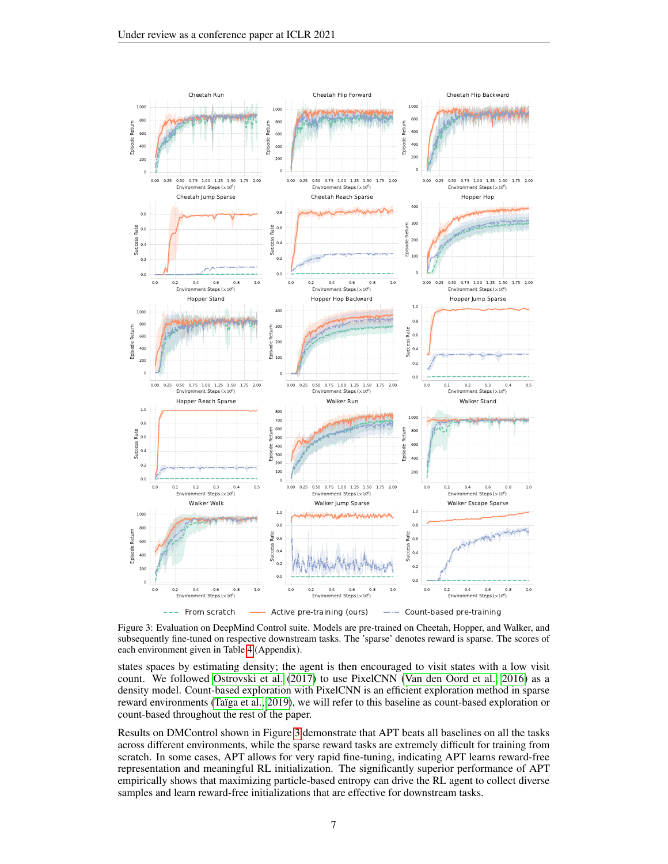<span id="page-6-0"></span>

Figure 3: Evaluation on DeepMind Control suite. Models are pre-trained on Cheetah, Hopper, and Walker, and subsequently fine-tuned on respective downstream tasks. The 'sparse' denotes reward is sparse. The scores of each environment given in Table [4](#page-17-0) (Appendix).

states spaces by estimating density; the agent is then encouraged to visit states with a low visit count. We followed [Ostrovski et al.](#page-12-7) [\(2017\)](#page-12-7) to use PixelCNN [\(Van den Oord et al., 2016\)](#page-14-4) as a density model. Count-based exploration with PixelCNN is an efficient exploration method in sparse reward environments [\(Taïga et al., 2019\)](#page-14-3), we will refer to this baseline as count-based exploration or count-based throughout the rest of the paper.

Results on DMControl shown in Figure [3](#page-6-0) demonstrate that APT beats all baselines on all the tasks across different environments, while the sparse reward tasks are extremely difficult for training from scratch. In some cases, APT allows for very rapid fine-tuning, indicating APT learns reward-free representation and meaningful RL initialization. The significantly superior performance of APT empirically shows that maximizing particle-based entropy can drive the RL agent to collect diverse samples and learn reward-free initializations that are effective for downstream tasks.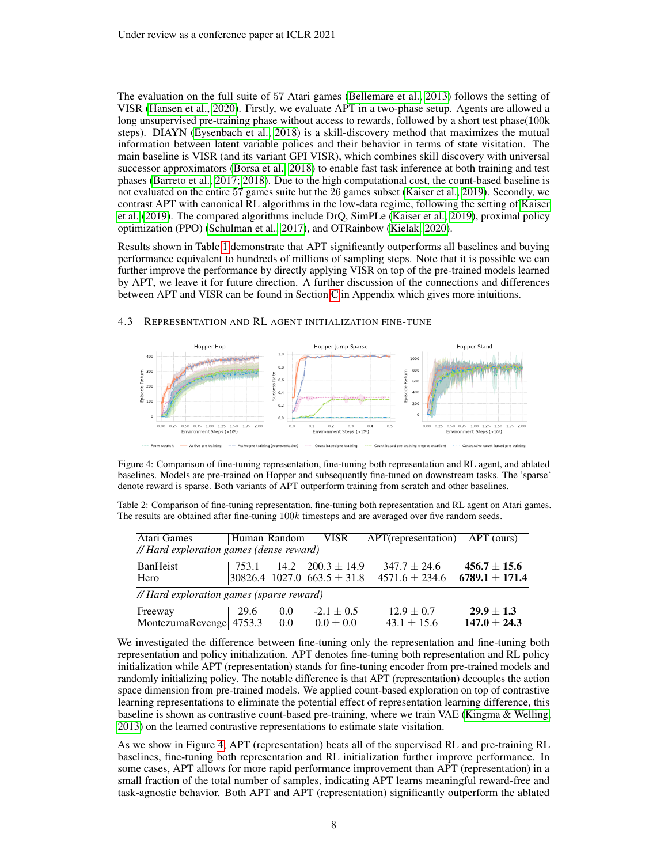The evaluation on the full suite of 57 Atari games [\(Bellemare et al., 2013\)](#page-9-9) follows the setting of VISR [\(Hansen et al., 2020\)](#page-11-15). Firstly, we evaluate APT in a two-phase setup. Agents are allowed a long unsupervised pre-training phase without access to rewards, followed by a short test phase(100k steps). DIAYN [\(Eysenbach et al., 2018\)](#page-10-15) is a skill-discovery method that maximizes the mutual information between latent variable polices and their behavior in terms of state visitation. The main baseline is VISR (and its variant GPI VISR), which combines skill discovery with universal successor approximators [\(Borsa et al., 2018\)](#page-9-12) to enable fast task inference at both training and test phases [\(Barreto et al., 2017;](#page-9-13) [2018\)](#page-9-14). Due to the high computational cost, the count-based baseline is not evaluated on the entire 57 games suite but the 26 games subset [\(Kaiser et al., 2019\)](#page-11-7). Secondly, we contrast APT with canonical RL algorithms in the low-data regime, following the setting of [Kaiser](#page-11-7) [et al.](#page-11-7) [\(2019\)](#page-11-7). The compared algorithms include DrQ, SimPLe [\(Kaiser et al., 2019\)](#page-11-7), proximal policy optimization (PPO) [\(Schulman et al., 2017\)](#page-13-1), and OTRainbow [\(Kielak, 2020\)](#page-11-14).

Results shown in Table [1](#page-5-0) demonstrate that APT significantly outperforms all baselines and buying performance equivalent to hundreds of millions of sampling steps. Note that it is possible we can further improve the performance by directly applying VISR on top of the pre-trained models learned by APT, we leave it for future direction. A further discussion of the connections and differences between APT and VISR can be found in Section [C](#page-16-1) in Appendix which gives more intuitions.

<span id="page-7-0"></span>

#### 4.3 REPRESENTATION AND RL AGENT INITIALIZATION FINE-TUNE

Figure 4: Comparison of fine-tuning representation, fine-tuning both representation and RL agent, and ablated baselines. Models are pre-trained on Hopper and subsequently fine-tuned on downstream tasks. The 'sparse' denote reward is sparse. Both variants of APT outperform training from scratch and other baselines.

<span id="page-7-1"></span>Table 2: Comparison of fine-tuning representation, fine-tuning both representation and RL agent on Atari games. The results are obtained after fine-tuning 100k timesteps and are averaged over five random seeds.

| Atari Games                               | Human Random |            | <b>VISR</b>                                                      | APT(representation) APT (ours)         |                                        |
|-------------------------------------------|--------------|------------|------------------------------------------------------------------|----------------------------------------|----------------------------------------|
| // Hard exploration games (dense reward)  |              |            |                                                                  |                                        |                                        |
| <b>BanHeist</b><br>Hero                   | 753.1        |            | $14.2 \quad 200.3 \pm 14.9$<br>$30826.4$ 1027.0 663.5 $\pm$ 31.8 | $347.7 \pm 24.6$<br>$4571.6 \pm 234.6$ | $456.7 \pm 15.6$<br>$6789.1 \pm 171.4$ |
| // Hard exploration games (sparse reward) |              |            |                                                                  |                                        |                                        |
| Freeway<br>MontezumaRevenge 4753.3        | 29.6         | 0.0<br>0.0 | $-2.1 \pm 0.5$<br>$0.0 \pm 0.0$                                  | $12.9 \pm 0.7$<br>$43.1 \pm 15.6$      | $29.9 \pm 1.3$<br>$147.0 \pm 24.3$     |

We investigated the difference between fine-tuning only the representation and fine-tuning both representation and policy initialization. APT denotes fine-tuning both representation and RL policy initialization while APT (representation) stands for fine-tuning encoder from pre-trained models and randomly initializing policy. The notable difference is that APT (representation) decouples the action space dimension from pre-trained models. We applied count-based exploration on top of contrastive learning representations to eliminate the potential effect of representation learning difference, this baseline is shown as contrastive count-based pre-training, where we train VAE [\(Kingma & Welling,](#page-12-19) [2013\)](#page-12-19) on the learned contrastive representations to estimate state visitation.

As we show in Figure [4,](#page-7-0) APT (representation) beats all of the supervised RL and pre-training RL baselines, fine-tuning both representation and RL initialization further improve performance. In some cases, APT allows for more rapid performance improvement than APT (representation) in a small fraction of the total number of samples, indicating APT learns meaningful reward-free and task-agnostic behavior. Both APT and APT (representation) significantly outperform the ablated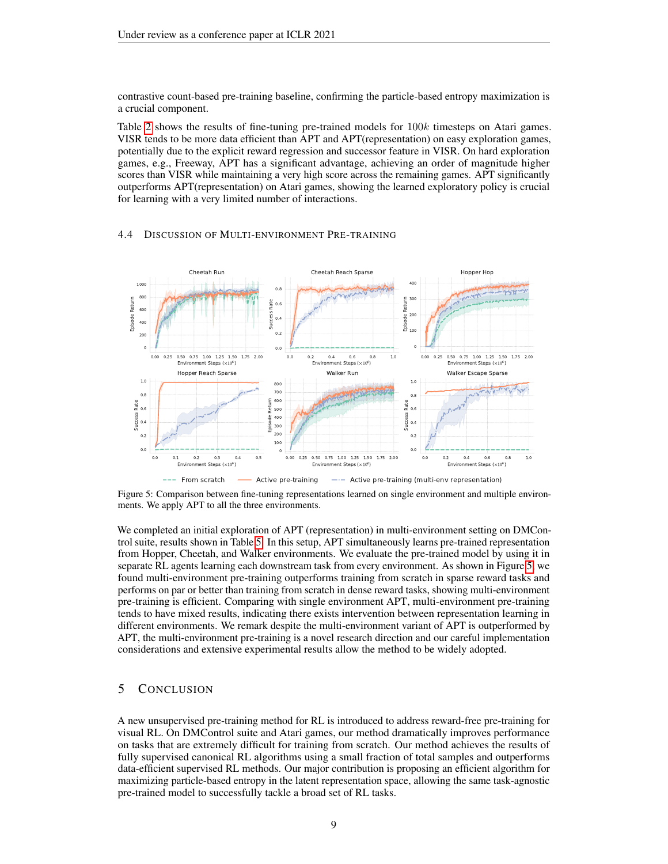contrastive count-based pre-training baseline, confirming the particle-based entropy maximization is a crucial component.

Table [2](#page-7-1) shows the results of fine-tuning pre-trained models for 100k timesteps on Atari games. VISR tends to be more data efficient than APT and APT(representation) on easy exploration games, potentially due to the explicit reward regression and successor feature in VISR. On hard exploration games, e.g., Freeway, APT has a significant advantage, achieving an order of magnitude higher scores than VISR while maintaining a very high score across the remaining games. APT significantly outperforms APT(representation) on Atari games, showing the learned exploratory policy is crucial for learning with a very limited number of interactions.

#### 4.4 DISCUSSION OF MULTI-ENVIRONMENT PRE-TRAINING

<span id="page-8-0"></span>

Figure 5: Comparison between fine-tuning representations learned on single environment and multiple environments. We apply APT to all the three environments.

We completed an initial exploration of APT (representation) in multi-environment setting on DMControl suite, results shown in Table [5.](#page-8-0) In this setup, APT simultaneously learns pre-trained representation from Hopper, Cheetah, and Walker environments. We evaluate the pre-trained model by using it in separate RL agents learning each downstream task from every environment. As shown in Figure [5,](#page-8-0) we found multi-environment pre-training outperforms training from scratch in sparse reward tasks and performs on par or better than training from scratch in dense reward tasks, showing multi-environment pre-training is efficient. Comparing with single environment APT, multi-environment pre-training tends to have mixed results, indicating there exists intervention between representation learning in different environments. We remark despite the multi-environment variant of APT is outperformed by APT, the multi-environment pre-training is a novel research direction and our careful implementation considerations and extensive experimental results allow the method to be widely adopted.

## 5 CONCLUSION

A new unsupervised pre-training method for RL is introduced to address reward-free pre-training for visual RL. On DMControl suite and Atari games, our method dramatically improves performance on tasks that are extremely difficult for training from scratch. Our method achieves the results of fully supervised canonical RL algorithms using a small fraction of total samples and outperforms data-efficient supervised RL methods. Our major contribution is proposing an efficient algorithm for maximizing particle-based entropy in the latent representation space, allowing the same task-agnostic pre-trained model to successfully tackle a broad set of RL tasks.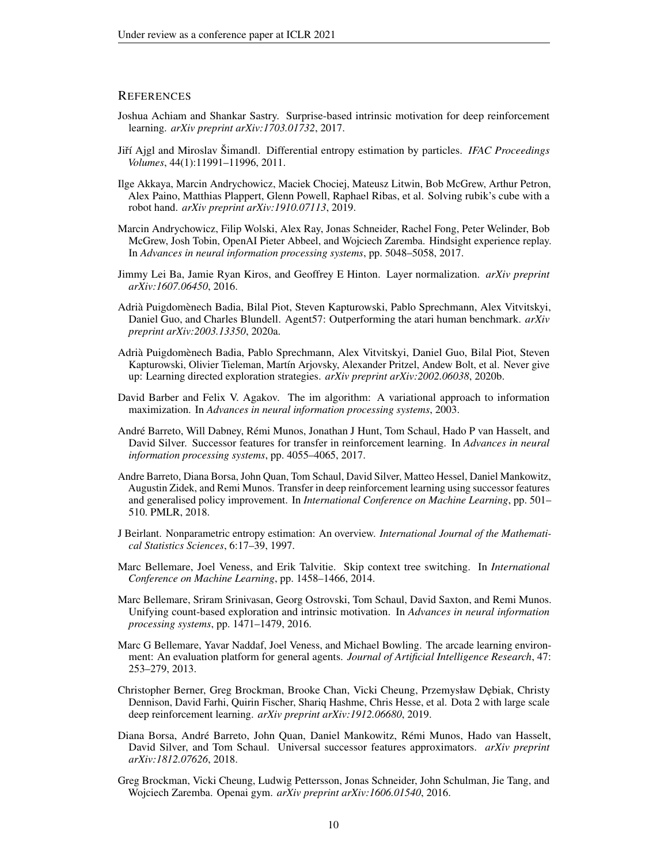#### **REFERENCES**

- <span id="page-9-6"></span>Joshua Achiam and Shankar Sastry. Surprise-based intrinsic motivation for deep reinforcement learning. *arXiv preprint arXiv:1703.01732*, 2017.
- <span id="page-9-8"></span>Jiˇrí Ajgl and Miroslav Šimandl. Differential entropy estimation by particles. *IFAC Proceedings Volumes*, 44(1):11991–11996, 2011.
- <span id="page-9-3"></span>Ilge Akkaya, Marcin Andrychowicz, Maciek Chociej, Mateusz Litwin, Bob McGrew, Arthur Petron, Alex Paino, Matthias Plappert, Glenn Powell, Raphael Ribas, et al. Solving rubik's cube with a robot hand. *arXiv preprint arXiv:1910.07113*, 2019.
- <span id="page-9-2"></span>Marcin Andrychowicz, Filip Wolski, Alex Ray, Jonas Schneider, Rachel Fong, Peter Welinder, Bob McGrew, Josh Tobin, OpenAI Pieter Abbeel, and Wojciech Zaremba. Hindsight experience replay. In *Advances in neural information processing systems*, pp. 5048–5058, 2017.
- <span id="page-9-16"></span>Jimmy Lei Ba, Jamie Ryan Kiros, and Geoffrey E Hinton. Layer normalization. *arXiv preprint arXiv:1607.06450*, 2016.
- <span id="page-9-1"></span>Adrià Puigdomènech Badia, Bilal Piot, Steven Kapturowski, Pablo Sprechmann, Alex Vitvitskyi, Daniel Guo, and Charles Blundell. Agent57: Outperforming the atari human benchmark. *arXiv preprint arXiv:2003.13350*, 2020a.
- <span id="page-9-7"></span>Adrià Puigdomènech Badia, Pablo Sprechmann, Alex Vitvitskyi, Daniel Guo, Bilal Piot, Steven Kapturowski, Olivier Tieleman, Martín Arjovsky, Alexander Pritzel, Andew Bolt, et al. Never give up: Learning directed exploration strategies. *arXiv preprint arXiv:2002.06038*, 2020b.
- <span id="page-9-15"></span>David Barber and Felix V. Agakov. The im algorithm: A variational approach to information maximization. In *Advances in neural information processing systems*, 2003.
- <span id="page-9-13"></span>André Barreto, Will Dabney, Rémi Munos, Jonathan J Hunt, Tom Schaul, Hado P van Hasselt, and David Silver. Successor features for transfer in reinforcement learning. In *Advances in neural information processing systems*, pp. 4055–4065, 2017.
- <span id="page-9-14"></span>Andre Barreto, Diana Borsa, John Quan, Tom Schaul, David Silver, Matteo Hessel, Daniel Mankowitz, Augustin Zidek, and Remi Munos. Transfer in deep reinforcement learning using successor features and generalised policy improvement. In *International Conference on Machine Learning*, pp. 501– 510. PMLR, 2018.
- <span id="page-9-5"></span>J Beirlant. Nonparametric entropy estimation: An overview. *International Journal of the Mathematical Statistics Sciences*, 6:17–39, 1997.
- <span id="page-9-11"></span>Marc Bellemare, Joel Veness, and Erik Talvitie. Skip context tree switching. In *International Conference on Machine Learning*, pp. 1458–1466, 2014.
- <span id="page-9-4"></span>Marc Bellemare, Sriram Srinivasan, Georg Ostrovski, Tom Schaul, David Saxton, and Remi Munos. Unifying count-based exploration and intrinsic motivation. In *Advances in neural information processing systems*, pp. 1471–1479, 2016.
- <span id="page-9-9"></span>Marc G Bellemare, Yavar Naddaf, Joel Veness, and Michael Bowling. The arcade learning environment: An evaluation platform for general agents. *Journal of Artificial Intelligence Research*, 47: 253–279, 2013.
- <span id="page-9-0"></span>Christopher Berner, Greg Brockman, Brooke Chan, Vicki Cheung, Przemysław D˛ebiak, Christy Dennison, David Farhi, Quirin Fischer, Shariq Hashme, Chris Hesse, et al. Dota 2 with large scale deep reinforcement learning. *arXiv preprint arXiv:1912.06680*, 2019.
- <span id="page-9-12"></span>Diana Borsa, André Barreto, John Quan, Daniel Mankowitz, Rémi Munos, Hado van Hasselt, David Silver, and Tom Schaul. Universal successor features approximators. *arXiv preprint arXiv:1812.07626*, 2018.
- <span id="page-9-10"></span>Greg Brockman, Vicki Cheung, Ludwig Pettersson, Jonas Schneider, John Schulman, Jie Tang, and Wojciech Zaremba. Openai gym. *arXiv preprint arXiv:1606.01540*, 2016.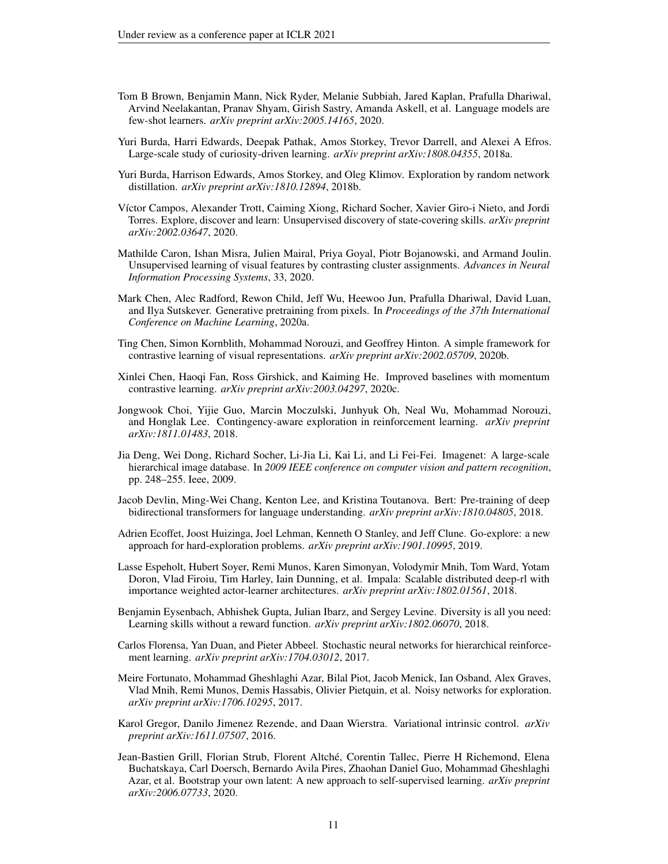- <span id="page-10-4"></span>Tom B Brown, Benjamin Mann, Nick Ryder, Melanie Subbiah, Jared Kaplan, Prafulla Dhariwal, Arvind Neelakantan, Pranav Shyam, Girish Sastry, Amanda Askell, et al. Language models are few-shot learners. *arXiv preprint arXiv:2005.14165*, 2020.
- <span id="page-10-8"></span>Yuri Burda, Harri Edwards, Deepak Pathak, Amos Storkey, Trevor Darrell, and Alexei A Efros. Large-scale study of curiosity-driven learning. *arXiv preprint arXiv:1808.04355*, 2018a.
- <span id="page-10-9"></span>Yuri Burda, Harrison Edwards, Amos Storkey, and Oleg Klimov. Exploration by random network distillation. *arXiv preprint arXiv:1810.12894*, 2018b.
- <span id="page-10-16"></span>Víctor Campos, Alexander Trott, Caiming Xiong, Richard Socher, Xavier Giro-i Nieto, and Jordi Torres. Explore, discover and learn: Unsupervised discovery of state-covering skills. *arXiv preprint arXiv:2002.03647*, 2020.
- <span id="page-10-1"></span>Mathilde Caron, Ishan Misra, Julien Mairal, Priya Goyal, Piotr Bojanowski, and Armand Joulin. Unsupervised learning of visual features by contrasting cluster assignments. *Advances in Neural Information Processing Systems*, 33, 2020.
- <span id="page-10-7"></span>Mark Chen, Alec Radford, Rewon Child, Jeff Wu, Heewoo Jun, Prafulla Dhariwal, David Luan, and Ilya Sutskever. Generative pretraining from pixels. In *Proceedings of the 37th International Conference on Machine Learning*, 2020a.
- <span id="page-10-0"></span>Ting Chen, Simon Kornblith, Mohammad Norouzi, and Geoffrey Hinton. A simple framework for contrastive learning of visual representations. *arXiv preprint arXiv:2002.05709*, 2020b.
- <span id="page-10-6"></span>Xinlei Chen, Haoqi Fan, Ross Girshick, and Kaiming He. Improved baselines with momentum contrastive learning. *arXiv preprint arXiv:2003.04297*, 2020c.
- <span id="page-10-10"></span>Jongwook Choi, Yijie Guo, Marcin Moczulski, Junhyuk Oh, Neal Wu, Mohammad Norouzi, and Honglak Lee. Contingency-aware exploration in reinforcement learning. *arXiv preprint arXiv:1811.01483*, 2018.
- <span id="page-10-5"></span>Jia Deng, Wei Dong, Richard Socher, Li-Jia Li, Kai Li, and Li Fei-Fei. Imagenet: A large-scale hierarchical image database. In *2009 IEEE conference on computer vision and pattern recognition*, pp. 248–255. Ieee, 2009.
- <span id="page-10-3"></span>Jacob Devlin, Ming-Wei Chang, Kenton Lee, and Kristina Toutanova. Bert: Pre-training of deep bidirectional transformers for language understanding. *arXiv preprint arXiv:1810.04805*, 2018.
- <span id="page-10-13"></span>Adrien Ecoffet, Joost Huizinga, Joel Lehman, Kenneth O Stanley, and Jeff Clune. Go-explore: a new approach for hard-exploration problems. *arXiv preprint arXiv:1901.10995*, 2019.
- <span id="page-10-17"></span>Lasse Espeholt, Hubert Soyer, Remi Munos, Karen Simonyan, Volodymir Mnih, Tom Ward, Yotam Doron, Vlad Firoiu, Tim Harley, Iain Dunning, et al. Impala: Scalable distributed deep-rl with importance weighted actor-learner architectures. *arXiv preprint arXiv:1802.01561*, 2018.
- <span id="page-10-15"></span>Benjamin Eysenbach, Abhishek Gupta, Julian Ibarz, and Sergey Levine. Diversity is all you need: Learning skills without a reward function. *arXiv preprint arXiv:1802.06070*, 2018.
- <span id="page-10-12"></span>Carlos Florensa, Yan Duan, and Pieter Abbeel. Stochastic neural networks for hierarchical reinforcement learning. *arXiv preprint arXiv:1704.03012*, 2017.
- <span id="page-10-14"></span>Meire Fortunato, Mohammad Gheshlaghi Azar, Bilal Piot, Jacob Menick, Ian Osband, Alex Graves, Vlad Mnih, Remi Munos, Demis Hassabis, Olivier Pietquin, et al. Noisy networks for exploration. *arXiv preprint arXiv:1706.10295*, 2017.
- <span id="page-10-11"></span>Karol Gregor, Danilo Jimenez Rezende, and Daan Wierstra. Variational intrinsic control. *arXiv preprint arXiv:1611.07507*, 2016.
- <span id="page-10-2"></span>Jean-Bastien Grill, Florian Strub, Florent Altché, Corentin Tallec, Pierre H Richemond, Elena Buchatskaya, Carl Doersch, Bernardo Avila Pires, Zhaohan Daniel Guo, Mohammad Gheshlaghi Azar, et al. Bootstrap your own latent: A new approach to self-supervised learning. *arXiv preprint arXiv:2006.07733*, 2020.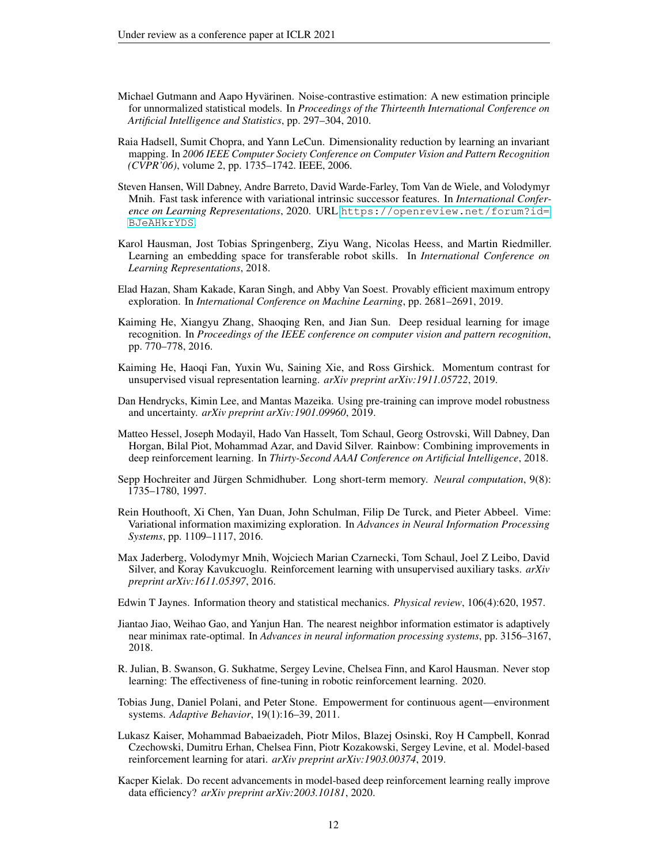- <span id="page-11-6"></span>Michael Gutmann and Aapo Hyvärinen. Noise-contrastive estimation: A new estimation principle for unnormalized statistical models. In *Proceedings of the Thirteenth International Conference on Artificial Intelligence and Statistics*, pp. 297–304, 2010.
- <span id="page-11-5"></span>Raia Hadsell, Sumit Chopra, and Yann LeCun. Dimensionality reduction by learning an invariant mapping. In *2006 IEEE Computer Society Conference on Computer Vision and Pattern Recognition (CVPR'06)*, volume 2, pp. 1735–1742. IEEE, 2006.
- <span id="page-11-15"></span>Steven Hansen, Will Dabney, Andre Barreto, David Warde-Farley, Tom Van de Wiele, and Volodymyr Mnih. Fast task inference with variational intrinsic successor features. In *International Conference on Learning Representations*, 2020. URL [https://openreview.net/forum?id=](https://openreview.net/forum?id=BJeAHkrYDS) [BJeAHkrYDS](https://openreview.net/forum?id=BJeAHkrYDS).
- <span id="page-11-10"></span>Karol Hausman, Jost Tobias Springenberg, Ziyu Wang, Nicolas Heess, and Martin Riedmiller. Learning an embedding space for transferable robot skills. In *International Conference on Learning Representations*, 2018.
- <span id="page-11-12"></span>Elad Hazan, Sham Kakade, Karan Singh, and Abby Van Soest. Provably efficient maximum entropy exploration. In *International Conference on Machine Learning*, pp. 2681–2691, 2019.
- <span id="page-11-16"></span>Kaiming He, Xiangyu Zhang, Shaoqing Ren, and Jian Sun. Deep residual learning for image recognition. In *Proceedings of the IEEE conference on computer vision and pattern recognition*, pp. 770–778, 2016.
- <span id="page-11-0"></span>Kaiming He, Haoqi Fan, Yuxin Wu, Saining Xie, and Ross Girshick. Momentum contrast for unsupervised visual representation learning. *arXiv preprint arXiv:1911.05722*, 2019.
- <span id="page-11-1"></span>Dan Hendrycks, Kimin Lee, and Mantas Mazeika. Using pre-training can improve model robustness and uncertainty. *arXiv preprint arXiv:1901.09960*, 2019.
- <span id="page-11-13"></span>Matteo Hessel, Joseph Modayil, Hado Van Hasselt, Tom Schaul, Georg Ostrovski, Will Dabney, Dan Horgan, Bilal Piot, Mohammad Azar, and David Silver. Rainbow: Combining improvements in deep reinforcement learning. In *Thirty-Second AAAI Conference on Artificial Intelligence*, 2018.
- <span id="page-11-17"></span>Sepp Hochreiter and Jürgen Schmidhuber. Long short-term memory. *Neural computation*, 9(8): 1735–1780, 1997.
- <span id="page-11-9"></span>Rein Houthooft, Xi Chen, Yan Duan, John Schulman, Filip De Turck, and Pieter Abbeel. Vime: Variational information maximizing exploration. In *Advances in Neural Information Processing Systems*, pp. 1109–1117, 2016.
- <span id="page-11-11"></span>Max Jaderberg, Volodymyr Mnih, Wojciech Marian Czarnecki, Tom Schaul, Joel Z Leibo, David Silver, and Koray Kavukcuoglu. Reinforcement learning with unsupervised auxiliary tasks. *arXiv preprint arXiv:1611.05397*, 2016.
- <span id="page-11-3"></span>Edwin T Jaynes. Information theory and statistical mechanics. *Physical review*, 106(4):620, 1957.
- <span id="page-11-4"></span>Jiantao Jiao, Weihao Gao, and Yanjun Han. The nearest neighbor information estimator is adaptively near minimax rate-optimal. In *Advances in neural information processing systems*, pp. 3156–3167, 2018.
- <span id="page-11-2"></span>R. Julian, B. Swanson, G. Sukhatme, Sergey Levine, Chelsea Finn, and Karol Hausman. Never stop learning: The effectiveness of fine-tuning in robotic reinforcement learning. 2020.
- <span id="page-11-8"></span>Tobias Jung, Daniel Polani, and Peter Stone. Empowerment for continuous agent—environment systems. *Adaptive Behavior*, 19(1):16–39, 2011.
- <span id="page-11-7"></span>Lukasz Kaiser, Mohammad Babaeizadeh, Piotr Milos, Blazej Osinski, Roy H Campbell, Konrad Czechowski, Dumitru Erhan, Chelsea Finn, Piotr Kozakowski, Sergey Levine, et al. Model-based reinforcement learning for atari. *arXiv preprint arXiv:1903.00374*, 2019.
- <span id="page-11-14"></span>Kacper Kielak. Do recent advancements in model-based deep reinforcement learning really improve data efficiency? *arXiv preprint arXiv:2003.10181*, 2020.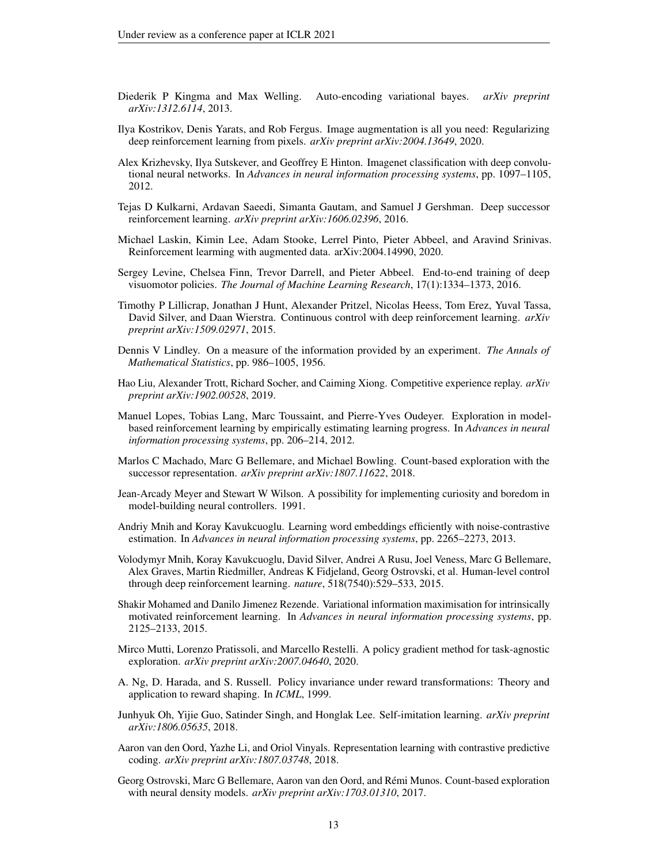- <span id="page-12-19"></span>Diederik P Kingma and Max Welling. Auto-encoding variational bayes. *arXiv preprint arXiv:1312.6114*, 2013.
- <span id="page-12-4"></span>Ilya Kostrikov, Denis Yarats, and Rob Fergus. Image augmentation is all you need: Regularizing deep reinforcement learning from pixels. *arXiv preprint arXiv:2004.13649*, 2020.
- <span id="page-12-6"></span>Alex Krizhevsky, Ilya Sutskever, and Geoffrey E Hinton. Imagenet classification with deep convolutional neural networks. In *Advances in neural information processing systems*, pp. 1097–1105, 2012.
- <span id="page-12-12"></span>Tejas D Kulkarni, Ardavan Saeedi, Simanta Gautam, and Samuel J Gershman. Deep successor reinforcement learning. *arXiv preprint arXiv:1606.02396*, 2016.
- <span id="page-12-18"></span>Michael Laskin, Kimin Lee, Adam Stooke, Lerrel Pinto, Pieter Abbeel, and Aravind Srinivas. Reinforcement learming with augmented data. arXiv:2004.14990, 2020.
- <span id="page-12-5"></span>Sergey Levine, Chelsea Finn, Trevor Darrell, and Pieter Abbeel. End-to-end training of deep visuomotor policies. *The Journal of Machine Learning Research*, 17(1):1334–1373, 2016.
- <span id="page-12-1"></span>Timothy P Lillicrap, Jonathan J Hunt, Alexander Pritzel, Nicolas Heess, Tom Erez, Yuval Tassa, David Silver, and Daan Wierstra. Continuous control with deep reinforcement learning. *arXiv preprint arXiv:1509.02971*, 2015.
- <span id="page-12-11"></span>Dennis V Lindley. On a measure of the information provided by an experiment. *The Annals of Mathematical Statistics*, pp. 986–1005, 1956.
- <span id="page-12-14"></span>Hao Liu, Alexander Trott, Richard Socher, and Caiming Xiong. Competitive experience replay. *arXiv preprint arXiv:1902.00528*, 2019.
- <span id="page-12-16"></span>Manuel Lopes, Tobias Lang, Marc Toussaint, and Pierre-Yves Oudeyer. Exploration in modelbased reinforcement learning by empirically estimating learning progress. In *Advances in neural information processing systems*, pp. 206–214, 2012.
- <span id="page-12-13"></span>Marlos C Machado, Marc G Bellemare, and Michael Bowling. Count-based exploration with the successor representation. *arXiv preprint arXiv:1807.11622*, 2018.
- <span id="page-12-9"></span>Jean-Arcady Meyer and Stewart W Wilson. A possibility for implementing curiosity and boredom in model-building neural controllers. 1991.
- <span id="page-12-8"></span>Andriy Mnih and Koray Kavukcuoglu. Learning word embeddings efficiently with noise-contrastive estimation. In *Advances in neural information processing systems*, pp. 2265–2273, 2013.
- <span id="page-12-0"></span>Volodymyr Mnih, Koray Kavukcuoglu, David Silver, Andrei A Rusu, Joel Veness, Marc G Bellemare, Alex Graves, Martin Riedmiller, Andreas K Fidjeland, Georg Ostrovski, et al. Human-level control through deep reinforcement learning. *nature*, 518(7540):529–533, 2015.
- <span id="page-12-10"></span>Shakir Mohamed and Danilo Jimenez Rezende. Variational information maximisation for intrinsically motivated reinforcement learning. In *Advances in neural information processing systems*, pp. 2125–2133, 2015.
- <span id="page-12-17"></span>Mirco Mutti, Lorenzo Pratissoli, and Marcello Restelli. A policy gradient method for task-agnostic exploration. *arXiv preprint arXiv:2007.04640*, 2020.
- <span id="page-12-2"></span>A. Ng, D. Harada, and S. Russell. Policy invariance under reward transformations: Theory and application to reward shaping. In *ICML*, 1999.
- <span id="page-12-15"></span>Junhyuk Oh, Yijie Guo, Satinder Singh, and Honglak Lee. Self-imitation learning. *arXiv preprint arXiv:1806.05635*, 2018.
- <span id="page-12-3"></span>Aaron van den Oord, Yazhe Li, and Oriol Vinyals. Representation learning with contrastive predictive coding. *arXiv preprint arXiv:1807.03748*, 2018.
- <span id="page-12-7"></span>Georg Ostrovski, Marc G Bellemare, Aaron van den Oord, and Rémi Munos. Count-based exploration with neural density models. *arXiv preprint arXiv:1703.01310*, 2017.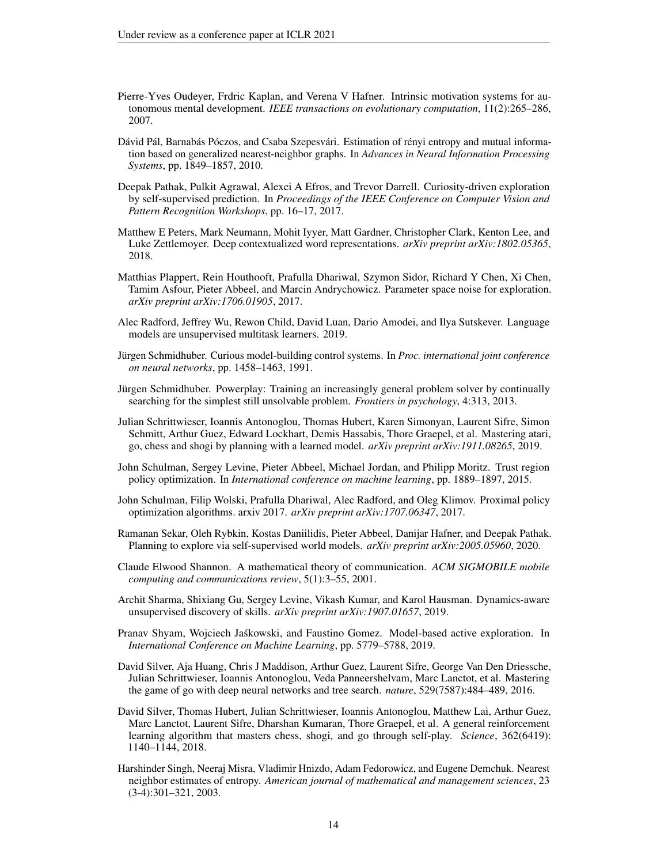- <span id="page-13-16"></span>Pierre-Yves Oudeyer, Frdric Kaplan, and Verena V Hafner. Intrinsic motivation systems for autonomous mental development. *IEEE transactions on evolutionary computation*, 11(2):265–286, 2007.
- <span id="page-13-9"></span>Dávid Pál, Barnabás Póczos, and Csaba Szepesvári. Estimation of rényi entropy and mutual information based on generalized nearest-neighbor graphs. In *Advances in Neural Information Processing Systems*, pp. 1849–1857, 2010.
- <span id="page-13-10"></span>Deepak Pathak, Pulkit Agrawal, Alexei A Efros, and Trevor Darrell. Curiosity-driven exploration by self-supervised prediction. In *Proceedings of the IEEE Conference on Computer Vision and Pattern Recognition Workshops*, pp. 16–17, 2017.
- <span id="page-13-5"></span>Matthew E Peters, Mark Neumann, Mohit Iyyer, Matt Gardner, Christopher Clark, Kenton Lee, and Luke Zettlemoyer. Deep contextualized word representations. *arXiv preprint arXiv:1802.05365*, 2018.
- <span id="page-13-14"></span>Matthias Plappert, Rein Houthooft, Prafulla Dhariwal, Szymon Sidor, Richard Y Chen, Xi Chen, Tamim Asfour, Pieter Abbeel, and Marcin Andrychowicz. Parameter space noise for exploration. *arXiv preprint arXiv:1706.01905*, 2017.
- <span id="page-13-6"></span>Alec Radford, Jeffrey Wu, Rewon Child, David Luan, Dario Amodei, and Ilya Sutskever. Language models are unsupervised multitask learners. 2019.
- <span id="page-13-15"></span>Jürgen Schmidhuber. Curious model-building control systems. In *Proc. international joint conference on neural networks*, pp. 1458–1463, 1991.
- <span id="page-13-13"></span>Jürgen Schmidhuber. Powerplay: Training an increasingly general problem solver by continually searching for the simplest still unsolvable problem. *Frontiers in psychology*, 4:313, 2013.
- <span id="page-13-4"></span>Julian Schrittwieser, Ioannis Antonoglou, Thomas Hubert, Karen Simonyan, Laurent Sifre, Simon Schmitt, Arthur Guez, Edward Lockhart, Demis Hassabis, Thore Graepel, et al. Mastering atari, go, chess and shogi by planning with a learned model. *arXiv preprint arXiv:1911.08265*, 2019.
- <span id="page-13-0"></span>John Schulman, Sergey Levine, Pieter Abbeel, Michael Jordan, and Philipp Moritz. Trust region policy optimization. In *International conference on machine learning*, pp. 1889–1897, 2015.
- <span id="page-13-1"></span>John Schulman, Filip Wolski, Prafulla Dhariwal, Alec Radford, and Oleg Klimov. Proximal policy optimization algorithms. arxiv 2017. *arXiv preprint arXiv:1707.06347*, 2017.
- <span id="page-13-11"></span>Ramanan Sekar, Oleh Rybkin, Kostas Daniilidis, Pieter Abbeel, Danijar Hafner, and Deepak Pathak. Planning to explore via self-supervised world models. *arXiv preprint arXiv:2005.05960*, 2020.
- <span id="page-13-7"></span>Claude Elwood Shannon. A mathematical theory of communication. *ACM SIGMOBILE mobile computing and communications review*, 5(1):3–55, 2001.
- <span id="page-13-17"></span>Archit Sharma, Shixiang Gu, Sergey Levine, Vikash Kumar, and Karol Hausman. Dynamics-aware unsupervised discovery of skills. *arXiv preprint arXiv:1907.01657*, 2019.
- <span id="page-13-12"></span>Pranav Shyam, Wojciech Jaskowski, and Faustino Gomez. Model-based active exploration. In ´ *International Conference on Machine Learning*, pp. 5779–5788, 2019.
- <span id="page-13-2"></span>David Silver, Aja Huang, Chris J Maddison, Arthur Guez, Laurent Sifre, George Van Den Driessche, Julian Schrittwieser, Ioannis Antonoglou, Veda Panneershelvam, Marc Lanctot, et al. Mastering the game of go with deep neural networks and tree search. *nature*, 529(7587):484–489, 2016.
- <span id="page-13-3"></span>David Silver, Thomas Hubert, Julian Schrittwieser, Ioannis Antonoglou, Matthew Lai, Arthur Guez, Marc Lanctot, Laurent Sifre, Dharshan Kumaran, Thore Graepel, et al. A general reinforcement learning algorithm that masters chess, shogi, and go through self-play. *Science*, 362(6419): 1140–1144, 2018.
- <span id="page-13-8"></span>Harshinder Singh, Neeraj Misra, Vladimir Hnizdo, Adam Fedorowicz, and Eugene Demchuk. Nearest neighbor estimates of entropy. *American journal of mathematical and management sciences*, 23 (3-4):301–321, 2003.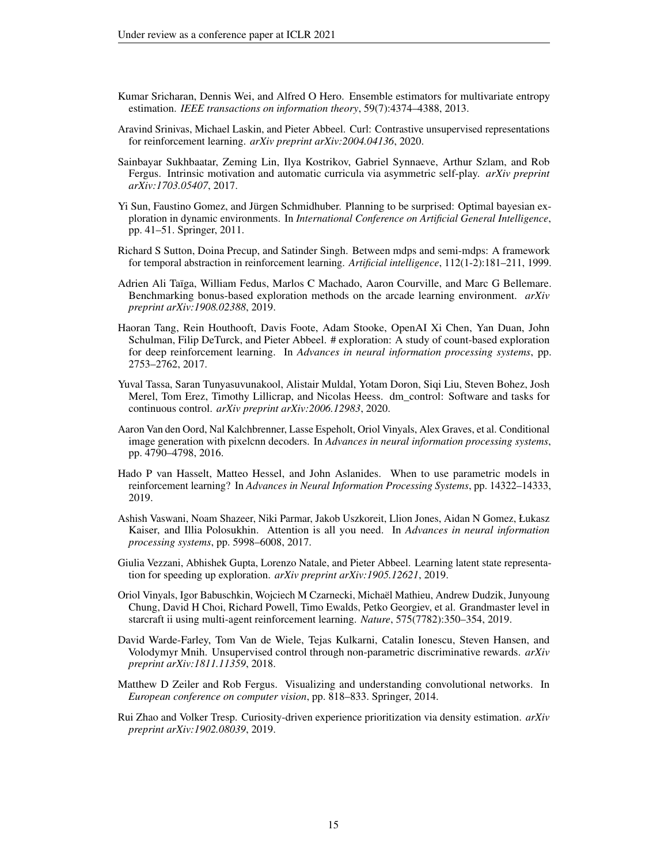- <span id="page-14-5"></span>Kumar Sricharan, Dennis Wei, and Alfred O Hero. Ensemble estimators for multivariate entropy estimation. *IEEE transactions on information theory*, 59(7):4374–4388, 2013.
- <span id="page-14-14"></span>Aravind Srinivas, Michael Laskin, and Pieter Abbeel. Curl: Contrastive unsupervised representations for reinforcement learning. *arXiv preprint arXiv:2004.04136*, 2020.
- <span id="page-14-11"></span>Sainbayar Sukhbaatar, Zeming Lin, Ilya Kostrikov, Gabriel Synnaeve, Arthur Szlam, and Rob Fergus. Intrinsic motivation and automatic curricula via asymmetric self-play. *arXiv preprint arXiv:1703.05407*, 2017.
- <span id="page-14-9"></span>Yi Sun, Faustino Gomez, and Jürgen Schmidhuber. Planning to be surprised: Optimal bayesian exploration in dynamic environments. In *International Conference on Artificial General Intelligence*, pp. 41–51. Springer, 2011.
- <span id="page-14-8"></span>Richard S Sutton, Doina Precup, and Satinder Singh. Between mdps and semi-mdps: A framework for temporal abstraction in reinforcement learning. *Artificial intelligence*, 112(1-2):181–211, 1999.
- <span id="page-14-3"></span>Adrien Ali Taïga, William Fedus, Marlos C Machado, Aaron Courville, and Marc G Bellemare. Benchmarking bonus-based exploration methods on the arcade learning environment. *arXiv preprint arXiv:1908.02388*, 2019.
- <span id="page-14-6"></span>Haoran Tang, Rein Houthooft, Davis Foote, Adam Stooke, OpenAI Xi Chen, Yan Duan, John Schulman, Filip DeTurck, and Pieter Abbeel. # exploration: A study of count-based exploration for deep reinforcement learning. In *Advances in neural information processing systems*, pp. 2753–2762, 2017.
- <span id="page-14-15"></span>Yuval Tassa, Saran Tunyasuvunakool, Alistair Muldal, Yotam Doron, Siqi Liu, Steven Bohez, Josh Merel, Tom Erez, Timothy Lillicrap, and Nicolas Heess. dm\_control: Software and tasks for continuous control. *arXiv preprint arXiv:2006.12983*, 2020.
- <span id="page-14-4"></span>Aaron Van den Oord, Nal Kalchbrenner, Lasse Espeholt, Oriol Vinyals, Alex Graves, et al. Conditional image generation with pixelcnn decoders. In *Advances in neural information processing systems*, pp. 4790–4798, 2016.
- <span id="page-14-13"></span>Hado P van Hasselt, Matteo Hessel, and John Aslanides. When to use parametric models in reinforcement learning? In *Advances in Neural Information Processing Systems*, pp. 14322–14333, 2019.
- <span id="page-14-1"></span>Ashish Vaswani, Noam Shazeer, Niki Parmar, Jakob Uszkoreit, Llion Jones, Aidan N Gomez, Łukasz Kaiser, and Illia Polosukhin. Attention is all you need. In *Advances in neural information processing systems*, pp. 5998–6008, 2017.
- <span id="page-14-12"></span>Giulia Vezzani, Abhishek Gupta, Lorenzo Natale, and Pieter Abbeel. Learning latent state representation for speeding up exploration. *arXiv preprint arXiv:1905.12621*, 2019.
- <span id="page-14-0"></span>Oriol Vinyals, Igor Babuschkin, Wojciech M Czarnecki, Michaël Mathieu, Andrew Dudzik, Junyoung Chung, David H Choi, Richard Powell, Timo Ewalds, Petko Georgiev, et al. Grandmaster level in starcraft ii using multi-agent reinforcement learning. *Nature*, 575(7782):350–354, 2019.
- <span id="page-14-10"></span>David Warde-Farley, Tom Van de Wiele, Tejas Kulkarni, Catalin Ionescu, Steven Hansen, and Volodymyr Mnih. Unsupervised control through non-parametric discriminative rewards. *arXiv preprint arXiv:1811.11359*, 2018.
- <span id="page-14-2"></span>Matthew D Zeiler and Rob Fergus. Visualizing and understanding convolutional networks. In *European conference on computer vision*, pp. 818–833. Springer, 2014.
- <span id="page-14-7"></span>Rui Zhao and Volker Tresp. Curiosity-driven experience prioritization via density estimation. *arXiv preprint arXiv:1902.08039*, 2019.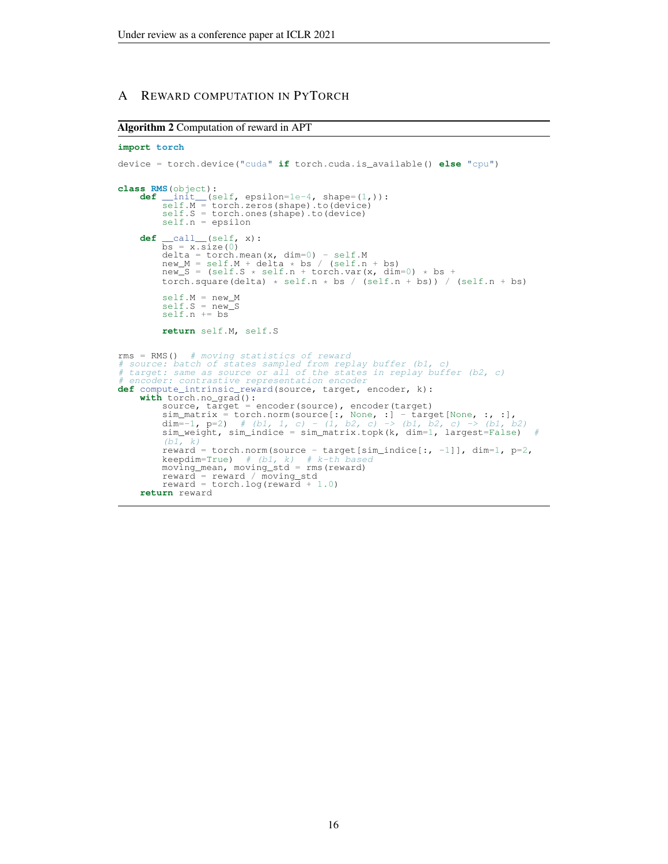# A REWARD COMPUTATION IN PYTORCH

## <span id="page-15-0"></span>Algorithm 2 Computation of reward in APT

```
import torch
device = torch.device("cuda" if torch.cuda.is_available() else "cpu")
class RMS(object):
       def __init__(self, epsilon=1e-4, shape=(1,)):<br>self.M = torch.zeros(shape).to(device)<br>self.S = torch.ones(shape).to(device)
              self.n = epsilon
       def \frac{\text{call}}{\text{bs}} = \frac{x \cdot \text{size}(0)}{x \cdot \text{size}(0)}delta = torch.mean(x, dim=0) - self.M
new_M = self.M + delta * bs / (self.n + bs)
new_S = (self.S * self.n + torch.var(x, dim=0) * bs +
              torch.square(delta) * self.n * bs / (self.n + bs)) / (self.n + bs)
              self.M = new Mself.S = new_S<br>self.n += bs
              return self.M, self.S
rms = RMS() # moving statistics of reward<br># source: batch of states sampled from replay buffer (b1, c)<br># target: same as source or all of the states in replay buffer (b2, c)<br># encoder: contrastive representation encoder<br>d
       with torch.no_grad():
              source, target = encoder(source), encoder(target)<br>sim_matrix = torch.norm(source[:, None, :] - target[None, :, :],
              dim=-1, p=2) # (b1, 1, c) - (1, b2, c) \rightarrow (b1, b2, c) \rightarrow (b1, b2)<br>sim_weight, sim_indice = sim_matrix.topk(k, dim=1, largest=False) #
               (b1, k)reward = torch.norm(source - target[sim_indice[:, -1]], dim=1, p=2,
              keepdim=True) # (b1, k) # k-th based
moving_mean, moving_std = rms(reward)
              reward = reward / moving std
              reward = torch.log(rewa\bar{r}\bar{d} + 1.0)return reward
```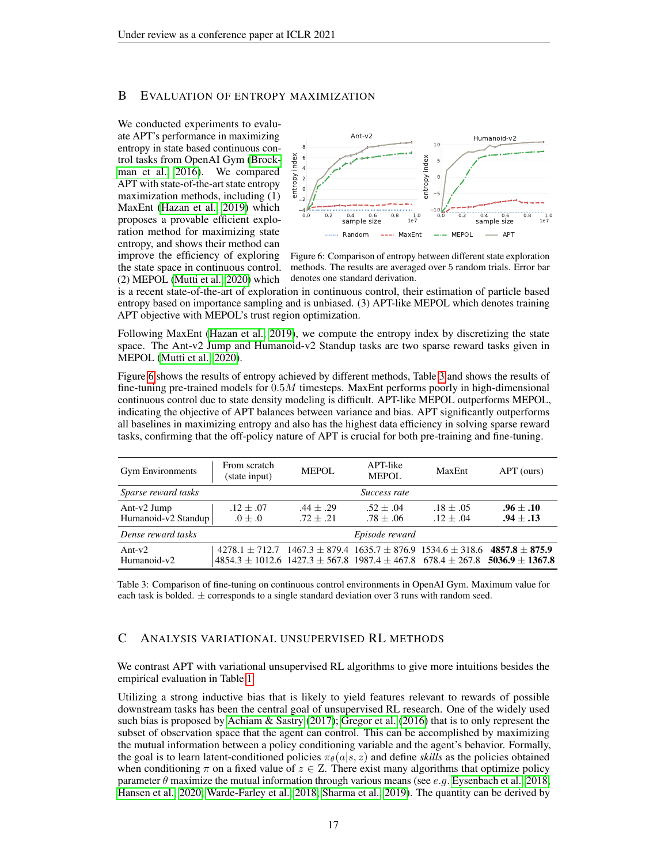## <span id="page-16-0"></span>B EVALUATION OF ENTROPY MAXIMIZATION

We conducted experiments to evaluate APT's performance in maximizing entropy in state based continuous control tasks from OpenAI Gym [\(Brock](#page-9-10)[man et al., 2016\)](#page-9-10). We compared APT with state-of-the-art state entropy maximization methods, including (1) MaxEnt [\(Hazan et al., 2019\)](#page-11-12) which proposes a provable efficient exploration method for maximizing state entropy, and shows their method can improve the efficiency of exploring the state space in continuous control. (2) MEPOL [\(Mutti et al., 2020\)](#page-12-17) which

<span id="page-16-2"></span>

Figure 6: Comparison of entropy between different state exploration methods. The results are averaged over 5 random trials. Error bar denotes one standard derivation.

is a recent state-of-the-art of exploration in continuous control, their estimation of particle based entropy based on importance sampling and is unbiased. (3) APT-like MEPOL which denotes training APT objective with MEPOL's trust region optimization.

Following MaxEnt [\(Hazan et al., 2019\)](#page-11-12), we compute the entropy index by discretizing the state space. The Ant-v2 Jump and Humanoid-v2 Standup tasks are two sparse reward tasks given in MEPOL [\(Mutti et al., 2020\)](#page-12-17).

Figure [6](#page-16-2) shows the results of entropy achieved by different methods, Table [3](#page-16-3) and shows the results of fine-tuning pre-trained models for 0.5M timesteps. MaxEnt performs poorly in high-dimensional continuous control due to state density modeling is difficult. APT-like MEPOL outperforms MEPOL, indicating the objective of APT balances between variance and bias. APT significantly outperforms all baselines in maximizing entropy and also has the highest data efficiency in solving sparse reward tasks, confirming that the off-policy nature of APT is crucial for both pre-training and fine-tuning.

<span id="page-16-3"></span>

| <b>Gym Environments</b>               | From scratch<br>(state input)                                                                  | <b>MEPOL</b>               | APT-like<br><b>MEPOL</b>   | MaxEnt                       | APT (ours)                                                                                                    |
|---------------------------------------|------------------------------------------------------------------------------------------------|----------------------------|----------------------------|------------------------------|---------------------------------------------------------------------------------------------------------------|
| Sparse reward tasks                   |                                                                                                |                            | Success rate               |                              |                                                                                                               |
| Ant- $v2$ Jump<br>Humanoid-v2 Standup | $.12 + .07$<br>$0 \pm .0$                                                                      | $.44 + .29$<br>$.72 + .21$ | $.52 + .04$<br>$.78 + .06$ | $.18 \pm .05$<br>$.12 + .04$ | $.96 + .10$<br>$.94 + .13$                                                                                    |
| Dense reward tasks                    |                                                                                                |                            | Episode reward             |                              |                                                                                                               |
| Ant- $v2$<br>Humanoid-v2              | $4278.1 \pm 712.7$ $1467.3 \pm 879.4$ $1635.7 \pm 876.9$ $1534.6 \pm 318.6$ $4857.8 \pm 875.9$ |                            |                            |                              | $4854.3 \pm 1012.6$ $1427.3 \pm 567.8$ $1987.4 \pm 467.8$ $678.4 \pm 267.8$ <b>5036.9</b> $\pm$ <b>1367.8</b> |

Table 3: Comparison of fine-tuning on continuous control environments in OpenAI Gym. Maximum value for each task is bolded.  $\pm$  corresponds to a single standard deviation over 3 runs with random seed.

## <span id="page-16-1"></span>C ANALYSIS VARIATIONAL UNSUPERVISED RL METHODS

We contrast APT with variational unsupervised RL algorithms to give more intuitions besides the empirical evaluation in Table [1.](#page-5-0)

Utilizing a strong inductive bias that is likely to yield features relevant to rewards of possible downstream tasks has been the central goal of unsupervised RL research. One of the widely used such bias is proposed by [Achiam & Sastry](#page-9-6) [\(2017\)](#page-9-6); [Gregor et al.](#page-10-11) [\(2016\)](#page-10-11) that is to only represent the subset of observation space that the agent can control. This can be accomplished by maximizing the mutual information between a policy conditioning variable and the agent's behavior. Formally, the goal is to learn latent-conditioned policies  $\pi_{\theta}(a|s, z)$  and define *skills* as the policies obtained when conditioning  $\pi$  on a fixed value of  $z \in \mathbb{Z}$ . There exist many algorithms that optimize policy parameter  $\theta$  maximize the mutual information through various means (see *e.g.* [Eysenbach et al., 2018;](#page-10-15) [Hansen et al., 2020;](#page-11-15) [Warde-Farley et al., 2018;](#page-14-10) [Sharma et al., 2019\)](#page-13-17). The quantity can be derived by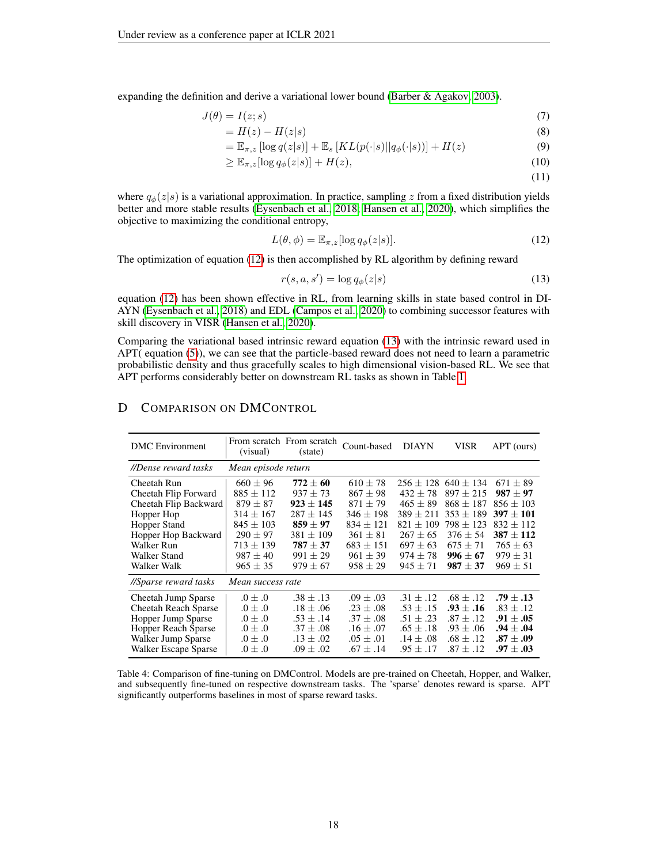expanding the definition and derive a variational lower bound [\(Barber & Agakov, 2003\)](#page-9-15).

$$
J(\theta) = I(z; s) \tag{7}
$$

$$
=H(z) - H(z|s)
$$
\n<sup>(8)</sup>

$$
= \mathbb{E}_{\pi,z} \left[ \log q(z|s) \right] + \mathbb{E}_s \left[ KL(p(\cdot|s) || q_\phi(\cdot|s)) \right] + H(z)
$$
\n(9)

$$
\geq \mathbb{E}_{\pi,z}[\log q_{\phi}(z|s)] + H(z),\tag{10}
$$

<span id="page-17-2"></span><span id="page-17-1"></span>(11)

where  $q_{\phi}(z|s)$  is a variational approximation. In practice, sampling z from a fixed distribution yields better and more stable results [\(Eysenbach et al., 2018;](#page-10-15) [Hansen et al., 2020\)](#page-11-15), which simplifies the objective to maximizing the conditional entropy,

$$
L(\theta, \phi) = \mathbb{E}_{\pi, z}[\log q_{\phi}(z|s)].
$$
\n(12)

The optimization of equation [\(12\)](#page-17-1) is then accomplished by RL algorithm by defining reward

$$
r(s, a, s') = \log q_{\phi}(z|s)
$$
\n<sup>(13)</sup>

equation [\(12\)](#page-17-1) has been shown effective in RL, from learning skills in state based control in DI-AYN [\(Eysenbach et al., 2018\)](#page-10-15) and EDL [\(Campos et al., 2020\)](#page-10-16) to combining successor features with skill discovery in VISR [\(Hansen et al., 2020\)](#page-11-15).

Comparing the variational based intrinsic reward equation [\(13\)](#page-17-2) with the intrinsic reward used in APT( equation [\(5\)](#page-4-0)), we can see that the particle-based reward does not need to learn a parametric probabilistic density and thus gracefully scales to high dimensional vision-based RL. We see that APT performs considerably better on downstream RL tasks as shown in Table [1.](#page-5-0)

# D COMPARISON ON DMCONTROL

<span id="page-17-0"></span>

| <b>DMC</b> Environment      | (visual)            | From scratch From scratch<br>(state) | Count-based   | <b>DIAYN</b>  | VISR          | APT (ours)    |
|-----------------------------|---------------------|--------------------------------------|---------------|---------------|---------------|---------------|
| //Dense reward tasks        | Mean episode return |                                      |               |               |               |               |
| Cheetah Run                 | $660 + 96$          | $772 \pm 60$                         | $610 + 78$    | $256 + 128$   | $640 + 134$   | $671 + 89$    |
| Cheetah Flip Forward        | $885 + 112$         | $937 + 73$                           | $867 + 98$    | $432 + 78$    | $897 + 215$   | $987 + 97$    |
| Cheetah Flip Backward       | $879 \pm 87$        | $923 + 145$                          | $871 + 79$    | $465 \pm 89$  | $868 + 187$   | $856 \pm 103$ |
| Hopper Hop                  | $314 + 167$         | $287 + 145$                          | $346 + 198$   | $389 + 211$   | $353 + 189$   | $397 + 101$   |
| Hopper Stand                | $845 + 103$         | $859 + 97$                           | $834 + 121$   | $821 + 109$   | $798 + 123$   | $832 + 112$   |
| Hopper Hop Backward         | $290 + 97$          | $381 + 109$                          | $361 + 81$    | $267 + 65$    | $376 \pm 54$  | $387 + 112$   |
| Walker Run                  | $713 \pm 139$       | $787 + 37$                           | $683 \pm 151$ | $697 \pm 63$  | $675 \pm 71$  | $765 \pm 63$  |
| Walker Stand                | $987 + 40$          | $991 + 29$                           | $961 \pm 39$  | $974 + 78$    | $996 + 67$    | $979 \pm 31$  |
| Walker Walk                 | $965 + 35$          | $979 + 67$                           | $958 + 29$    | $945 + 71$    | $987 \pm 37$  | $969 + 51$    |
| //Sparse reward tasks       | Mean success rate   |                                      |               |               |               |               |
| Cheetah Jump Sparse         | $0 + 0.$            | $.38 + .13$                          | $.09 + .03$   | $.31 + .12$   | $.68 + .12$   | $.79 \pm .13$ |
| <b>Cheetah Reach Sparse</b> | $0 \pm .0$          | $.18 + .06$                          | $.23 + .08$   | $.53 + .15$   | $.93 + .16$   | $.83 + .12$   |
| Hopper Jump Sparse          | $0 \pm .0$          | $.53 \pm .14$                        | $.37 \pm .08$ | $.51 \pm .23$ | $.87 \pm .12$ | $.91\pm.05$   |
| <b>Hopper Reach Sparse</b>  | $0 \pm .0$          | $.37 + .08$                          | $.16 + .07$   | $.65 \pm .18$ | $.93 + .06$   | $.94\pm.04$   |
| Walker Jump Sparse          | $0 \pm .0$          | $.13 \pm .02$                        | $.05 \pm .01$ | $.14\pm.08$   | $.68 + .12$   | $.87\pm.09$   |
| Walker Escape Sparse        | $0 \pm .0$          | $.09 + .02$                          | $.67 + .14$   | $.95 \pm .17$ | $.87 \pm .12$ | $.97\pm.03$   |

Table 4: Comparison of fine-tuning on DMControl. Models are pre-trained on Cheetah, Hopper, and Walker, and subsequently fine-tuned on respective downstream tasks. The 'sparse' denotes reward is sparse. APT significantly outperforms baselines in most of sparse reward tasks.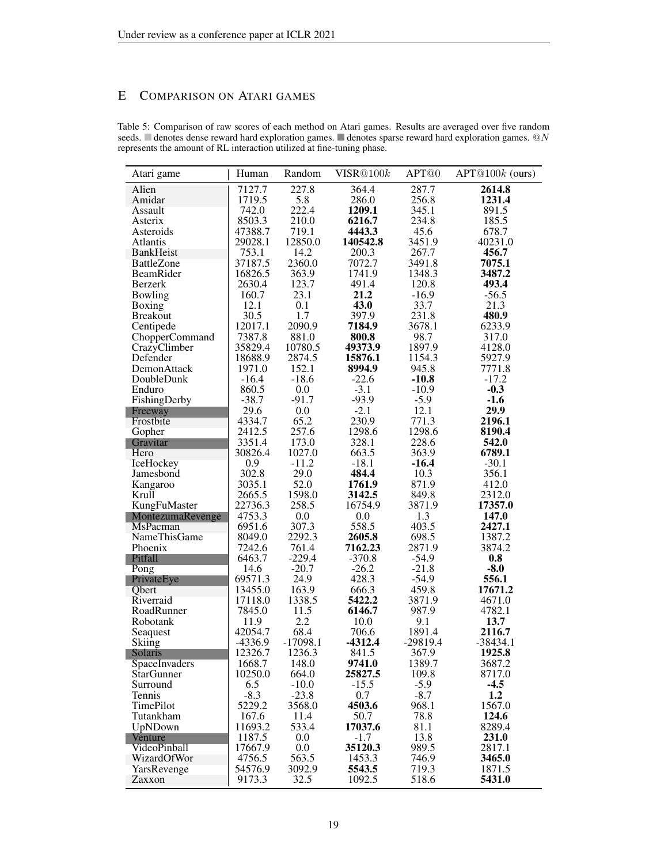# E COMPARISON ON ATARI GAMES

<span id="page-18-0"></span>

| Table 5: Comparison of raw scores of each method on Atari games. Results are averaged over five random                   |  |
|--------------------------------------------------------------------------------------------------------------------------|--|
| seeds. $\Box$ denotes dense reward hard exploration games. $\Box$ denotes sparse reward hard exploration games. $\Box N$ |  |
| represents the amount of RL interaction utilized at fine-tuning phase.                                                   |  |

| Atari game                          | Human             | Random            | VISR@100k        | APT <sup>@0</sup> | $APT@100k$ (ours) |
|-------------------------------------|-------------------|-------------------|------------------|-------------------|-------------------|
| Alien                               | 7127.7            | 227.8             | 364.4            | 287.7             | 2614.8            |
| Amidar                              | 1719.5            | 5.8               | 286.0            | 256.8             | 1231.4            |
| Assault                             | 742.0             | 222.4             | 1209.1           | 345.1             | 891.5             |
| Asterix                             | 8503.3            | 210.0             | 6216.7           | 234.8             | 185.5             |
| Asteroids                           | 47388.7           | 719.1             | 4443.3           | 45.6              | 678.7             |
| <b>Atlantis</b>                     | 29028.1           | 12850.0           | 140542.8         | 3451.9            | 40231.0           |
| <b>BankHeist</b>                    | 753.1             | 14.2              | 200.3            | 267.7             | 456.7             |
| <b>BattleZone</b>                   | 37187.5           | 2360.0            | 7072.7           | 3491.8            | 7075.1            |
| BeamRider                           | 16826.5           | 363.9             | 1741.9           | 1348.3            | 3487.2            |
| Berzerk                             | 2630.4            | 123.7             | 491.4            | 120.8             | 493.4             |
| Bowling                             | 160.7             | 23.1              | 21.2             | $-16.9$           | $-56.5$           |
|                                     | 12.1              | 0.1               | 43.0             | 33.7              | 21.3              |
| Boxing<br><b>Breakout</b>           | 30.5              | 1.7               | 397.9            | 231.8             | 480.9             |
| Centipede                           | 12017.1           | 2090.9            | 7184.9           | 3678.1            | 6233.9            |
| ChopperCommand                      | 7387.8            | 881.0             | 800.8            | 98.7              | 317.0             |
|                                     | 35829.4           | 10780.5           | 49373.9          | 1897.9            | 4128.0            |
| CrazyClimber                        |                   |                   |                  |                   |                   |
| Defender                            | 18688.9           | 2874.5            | 15876.1          | 1154.3            | 5927.9            |
| DemonAttack                         | 1971.0            | 152.1             | 8994.9           | 945.8             | 7771.8            |
| DoubleDunk                          | $-16.4$           | $-18.6$           | $-22.6$          | $-10.8$           | $-17.2$           |
| Enduro                              | 860.5             | $0.0\,$           | $-3.1$           | $-10.9$           | $-0.3$            |
| FishingDerby                        | $-38.7$           | $-91.7$           | $-93.9$          | $-5.9$            | $-1.6$            |
| Freeway                             | 29.6              | 0.0               | $-2.1$           | 12.1              | 29.9              |
| Frostbite                           | 4334.7            | 65.2              | 230.9            | 771.3             | 2196.1            |
| Gopher                              | 2412.5            | 257.6             | 1298.6           | 1298.6            | 8190.4            |
| Gravitar                            | 3351.4            | 173.0             | 328.1            | 228.6             | 542.0             |
| Hero                                | 30826.4           | 1027.0<br>$-11.2$ | 663.5            | 363.9             | 6789.1<br>$-30.1$ |
| IceHockey<br>Jamesbond              | 0.9<br>302.8      | 29.0              | $-18.1$<br>484.4 | $-16.4$<br>10.3   |                   |
|                                     | 3035.1            | 52.0              | 1761.9           | 871.9             | 356.1             |
| Kangaroo                            |                   |                   | 3142.5           | 849.8             | 412.0             |
| Krull<br>KungFuMaster               | 2665.5<br>22736.3 | 1598.0<br>258.5   | 16754.9          | 3871.9            | 2312.0<br>17357.0 |
|                                     | 4753.3            | 0.0               | 0.0              | 1.3               | 147.0             |
| MontezumaRevenge<br><b>MsPacman</b> | 6951.6            | 307.3             | 558.5            | 403.5             | 2427.1            |
| <b>NameThisGame</b>                 | 8049.0            | 2292.3            | 2605.8           | 698.5             | 1387.2            |
| Phoenix                             | 7242.6            | 761.4             | 7162.23          | 2871.9            | 3874.2            |
| Pitfall                             | 6463.7            | $-229.4$          | $-370.8$         | $-54.9$           | 0.8               |
| Pong                                | 14.6              | $-20.7$           | $-26.2$          | $-21.8$           | $-8.0$            |
| PrivateEye                          | 69571.3           | 24.9              | 428.3            | $-54.9$           | 556.1             |
| Obert                               | 13455.0           | 163.9             | 666.3            | 459.8             | 17671.2           |
| Riverraid                           | 17118.0           | 1338.5            | 5422.2           | 3871.9            | 4671.0            |
| RoadRunner                          | 7845.0            | 11.5              | 6146.7           | 987.9             | 4782.1            |
| Robotank                            | 11.9              | 2.2               | 10.0             | 9.1               | 13.7              |
| Seaquest                            | 42054.7           | 68.4              | 706.6            | 1891.4            | 2116.7            |
| Skiing                              | -4336.9           | $-17098.1$        | $-4312.4$        | $-29819.4$        | $-38434.1$        |
| Solaris                             | 12326.7           | 1236.3            | 841.5            | 367.9             | 1925.8            |
| SpaceInvaders                       | 1668.7            | 148.0             | 9741.0           | 1389.7            | 3687.2            |
| <b>StarGunner</b>                   | 10250.0           | 664.0             | 25827.5          | 109.8             | 8717.0            |
| Surround                            | 6.5               | $-10.0$           | $-15.5$          | $-5.9$            | $-4.5$            |
| Tennis                              | $-8.3$            | $-23.8$           | 0.7              | $-8.7$            | 1.2               |
| TimePilot                           | 5229.2            | 3568.0            | 4503.6           | 968.1             | 1567.0            |
| Tutankham                           | 167.6             | 11.4              | 50.7             | 78.8              | 124.6             |
| UpNDown                             | 11693.2           | 533.4             | 17037.6          | 81.1              | 8289.4            |
| Venture                             | 1187.5            | 0.0               | $-1.7$           | 13.8              | 231.0             |
| VideoPinball                        | 17667.9           | $0.0\,$           | 35120.3          | 989.5             | 2817.1            |
| WizardOfWor                         | 4756.5            | 563.5             | 1453.3           | 746.9             | 3465.0            |
| YarsRevenge                         | 54576.9           | 3092.9            | 5543.5           | 719.3             | 1871.5            |
| Zaxxon                              | 9173.3            | 32.5              | 1092.5           | 518.6             | 5431.0            |
|                                     |                   |                   |                  |                   |                   |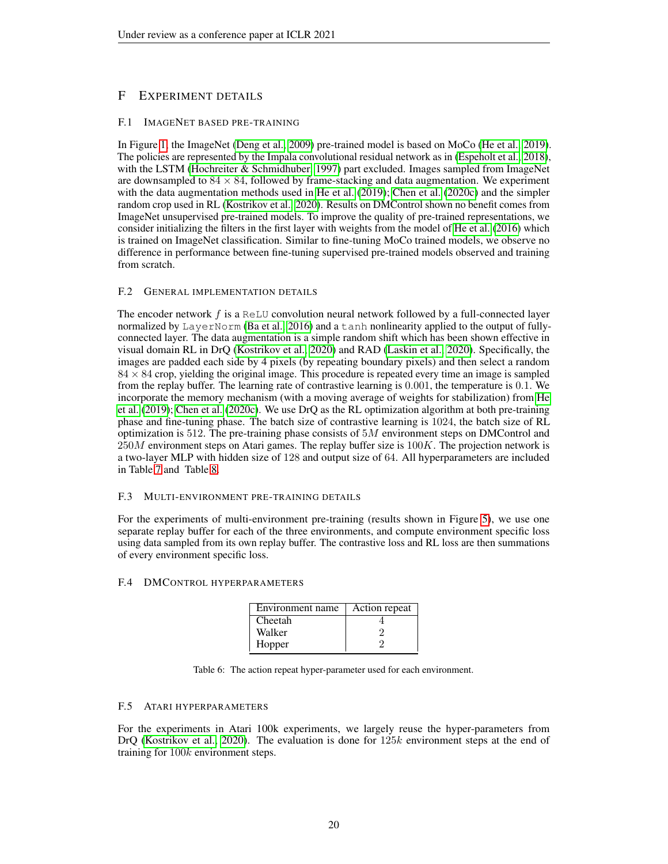# F EXPERIMENT DETAILS

## <span id="page-19-0"></span>F.1 IMAGENET BASED PRE-TRAINING

In Figure [1,](#page-1-0) the ImageNet [\(Deng et al., 2009\)](#page-10-5) pre-trained model is based on MoCo [\(He et al., 2019\)](#page-11-0). The policies are represented by the Impala convolutional residual network as in [\(Espeholt et al., 2018\)](#page-10-17), with the LSTM [\(Hochreiter & Schmidhuber, 1997\)](#page-11-17) part excluded. Images sampled from ImageNet are downsampled to  $84 \times 84$ , followed by frame-stacking and data augmentation. We experiment with the data augmentation methods used in [He et al.](#page-11-0) [\(2019\)](#page-11-0); [Chen et al.](#page-10-6) [\(2020c\)](#page-10-6) and the simpler random crop used in RL [\(Kostrikov et al., 2020\)](#page-12-4). Results on DMControl shown no benefit comes from ImageNet unsupervised pre-trained models. To improve the quality of pre-trained representations, we consider initializing the filters in the first layer with weights from the model of [He et al.](#page-11-16) [\(2016\)](#page-11-16) which is trained on ImageNet classification. Similar to fine-tuning MoCo trained models, we observe no difference in performance between fine-tuning supervised pre-trained models observed and training from scratch.

## F.2 GENERAL IMPLEMENTATION DETAILS

The encoder network  $f$  is a ReLU convolution neural network followed by a full-connected layer normalized by LayerNorm [\(Ba et al., 2016\)](#page-9-16) and a tanh nonlinearity applied to the output of fullyconnected layer. The data augmentation is a simple random shift which has been shown effective in visual domain RL in DrQ [\(Kostrikov et al., 2020\)](#page-12-4) and RAD [\(Laskin et al., 2020\)](#page-12-18). Specifically, the images are padded each side by 4 pixels (by repeating boundary pixels) and then select a random  $84 \times 84$  crop, yielding the original image. This procedure is repeated every time an image is sampled from the replay buffer. The learning rate of contrastive learning is 0.001, the temperature is 0.1. We incorporate the memory mechanism (with a moving average of weights for stabilization) from [He](#page-11-0) [et al.](#page-11-0) [\(2019\)](#page-11-0); [Chen et al.](#page-10-6) [\(2020c\)](#page-10-6). We use DrQ as the RL optimization algorithm at both pre-training phase and fine-tuning phase. The batch size of contrastive learning is 1024, the batch size of RL optimization is 512. The pre-training phase consists of  $5M$  environment steps on DMControl and  $250M$  environment steps on Atari games. The replay buffer size is  $100K$ . The projection network is a two-layer MLP with hidden size of 128 and output size of 64. All hyperparameters are included in Table [7](#page-21-0) and Table [8.](#page-22-0)

## F.3 MULTI-ENVIRONMENT PRE-TRAINING DETAILS

For the experiments of multi-environment pre-training (results shown in Figure [5\)](#page-8-0), we use one separate replay buffer for each of the three environments, and compute environment specific loss using data sampled from its own replay buffer. The contrastive loss and RL loss are then summations of every environment specific loss.

#### <span id="page-19-1"></span>F.4 DMCONTROL HYPERPARAMETERS

| Environment name | Action repeat |
|------------------|---------------|
| Cheetah          |               |
| Walker           |               |
| Hopper           |               |

Table 6: The action repeat hyper-parameter used for each environment.

#### F.5 ATARI HYPERPARAMETERS

For the experiments in Atari 100k experiments, we largely reuse the hyper-parameters from DrO [\(Kostrikov et al., 2020\)](#page-12-4). The evaluation is done for  $125k$  environment steps at the end of training for  $100k$  environment steps.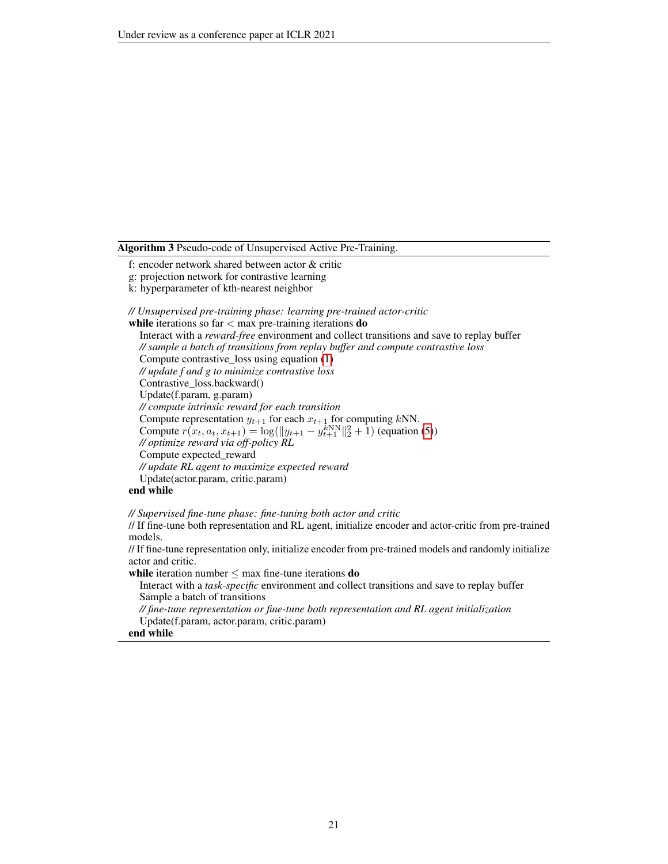#### <span id="page-20-0"></span>Algorithm 3 Pseudo-code of Unsupervised Active Pre-Training.

- f: encoder network shared between actor & critic
- g: projection network for contrastive learning
- k: hyperparameter of kth-nearest neighbor

*// Unsupervised pre-training phase: learning pre-trained actor-critic*

while iterations so far  $<$  max pre-training iterations  ${\bf do}$ Interact with a *reward-free* environment and collect transitions and save to replay buffer *// sample a batch of transitions from replay buffer and compute contrastive loss* Compute contrastive\_loss using equation [\(1\)](#page-3-1) *// update f and g to minimize contrastive loss* Contrastive\_loss.backward() Update(f.param, g.param) *// compute intrinsic reward for each transition* Compute representation  $y_{t+1}$  for each  $x_{t+1}$  for computing kNN. Compute  $r(x_t, a_t, x_{t+1}) = \log(||y_{t+1} - y_{t+1}^{k})||_2^2 + 1$  (equation [\(5\)](#page-4-0)) *// optimize reward via off-policy RL* Compute expected\_reward *// update RL agent to maximize expected reward* Update(actor.param, critic.param)

## end while

*// Supervised fine-tune phase: fine-tuning both actor and critic*

// If fine-tune both representation and RL agent, initialize encoder and actor-critic from pre-trained models.

// If fine-tune representation only, initialize encoder from pre-trained models and randomly initialize actor and critic.

while iteration number  $\leq$  max fine-tune iterations **do** 

Interact with a *task-specific* environment and collect transitions and save to replay buffer Sample a batch of transitions

*// fine-tune representation or fine-tune both representation and RL agent initialization* Update(f.param, actor.param, critic.param)

## end while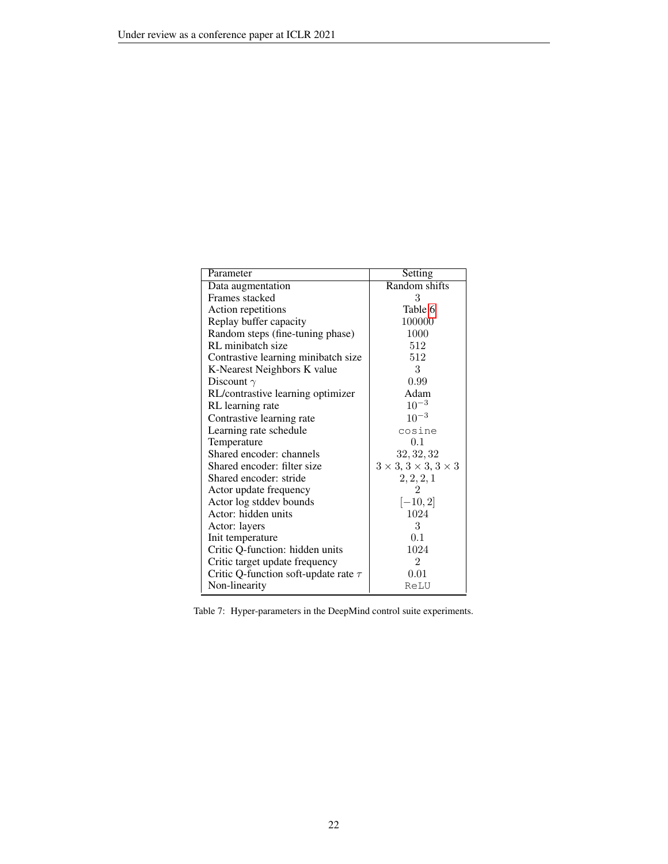<span id="page-21-0"></span>

| Parameter                                 | Setting                                    |
|-------------------------------------------|--------------------------------------------|
| Data augmentation                         | Random shifts                              |
| Frames stacked                            | 3                                          |
| Action repetitions                        | Table 6                                    |
| Replay buffer capacity                    | 100000                                     |
| Random steps (fine-tuning phase)          | 1000                                       |
| RL minibatch size                         | 512                                        |
| Contrastive learning minibatch size       | 512                                        |
| K-Nearest Neighbors K value               | 3                                          |
| Discount $\gamma$                         | 0.99                                       |
| RL/contrastive learning optimizer         | Adam                                       |
| RL learning rate                          | $10^{-3}$                                  |
| Contrastive learning rate                 | $10^{-3}$                                  |
| Learning rate schedule                    | cosine                                     |
| Temperature                               | 0.1                                        |
| Shared encoder: channels                  | 32, 32, 32                                 |
| Shared encoder: filter size               | $3 \times 3$ , $3 \times 3$ , $3 \times 3$ |
| Shared encoder: stride                    | 2, 2, 2, 1                                 |
| Actor update frequency                    | $\mathfrak{D}$                             |
| Actor log stddev bounds                   | $[-10, 2]$                                 |
| Actor: hidden units                       | 1024                                       |
| Actor: layers                             | 3                                          |
| Init temperature                          | 0.1                                        |
| Critic Q-function: hidden units           | 1024                                       |
| Critic target update frequency            | $\overline{2}$                             |
| Critic Q-function soft-update rate $\tau$ | 0.01                                       |
| Non-linearity                             | ReLU                                       |

Table 7: Hyper-parameters in the DeepMind control suite experiments.